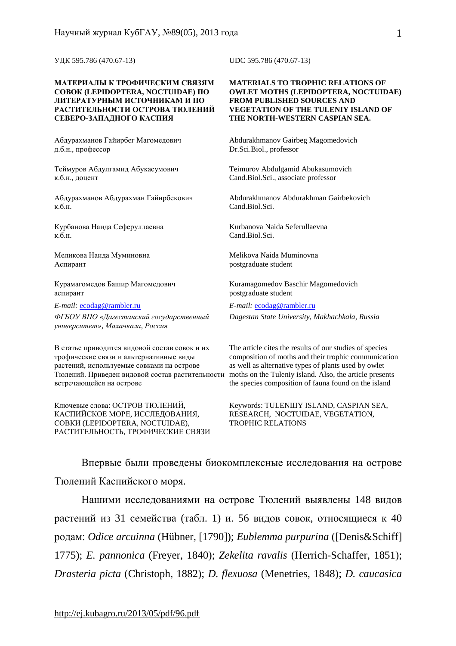УДК 595.786 (470.67-13) UDC 595.786 (470.67-13)

### **МАТЕРИАЛЫ К ТРОФИЧЕСКИМ СВЯЗЯМ СОВОК (LEPIDOPTERA, NOCTUIDAE) ПО ЛИТЕРАТУРНЫМ ИСТОЧНИКАМ И ПО РАСТИТЕЛЬНОСТИ ОСТРОВА ТЮЛЕНИЙ СЕВЕРО-ЗАПАДНОГО КАСПИЯ**

Абдурахманов Гайирбег Магомедович д.б.н., профессор

Теймуров Абдулгамид Абукасумович к.б.н., доцент

Абдурахманов Абдурахман Гайирбекович к.б.н.

Курбанова Наида Сеферуллаевна к.б.н.

Меликова Наида Муминовна Аспирант

Курамагомедов Башир Магомедович аспирант

*E-mail:* [ecodag@rambler.ru](mailto:ecodag@rambler.ru) *E-mail:* [ecodag@rambler.ru](mailto:ecodag@rambler.ru)

*ФГБОУ ВПО «Дагестанский государственный университет», Махачкала, Россия*

В статье приводится видовой состав совок и их трофические связи и альтернативные виды растений, используемые совками на острове Тюлений. Приведен видовой состав растительности встречающейся на острове

Ключевые слова: ОСТРОВ ТЮЛЕНИЙ, КАСПИЙСКОЕ МОРЕ, ИССЛЕДОВАНИЯ, СОВКИ (LEPIDOPTERA, NOCTUIDAE), РАСТИТЕЛЬНОСТЬ, ТРОФИЧЕСКИЕ СВЯЗИ

### **MATERIALS TO TROPHIC RELATIONS OF OWLET MOTHS (LEPIDOPTERA, NOCTUIDAE) FROM PUBLISHED SOURCES AND VEGETATION OF THE TULENIY ISLAND OF THE NORTH-WESTERN CASPIAN SEA.**

Abdurakhmanov Gairbeg Magomedovich Dr.Sci.Biol., professor

Teimurov Abdulgamid Abukasumovich Cand.Biol.Sci., associate professor

Abdurakhmanov Abdurakhman Gairbekovich Cand.Biol.Sci.

Kurbanova Naida Seferullaevna Cand.Biol.Sci.

Melikova Naida Muminovna postgraduate student

Kuramagomedov Baschir Magomedovich postgraduate student

*Dagestan State University, Makhachkala, Russia*

The article cites the results of our studies of species composition of moths and their trophic communication as well as alternative types of plants used by owlet moths on the Tuleniy island. Also, the article presents the species composition of fauna found on the island

Keywords: TULENШY ISLAND, CASPIAN SEA, RESEARCH, NOCTUIDAE, VEGETATION, TROPHIC RELATIONS

Впервые были проведены биокомплексные исследования на острове Тюлений Каспийского моря.

Нашими исследованиями на острове Тюлений выявлены 148 видов растений из 31 семейства (табл. 1) и. 56 видов совок, относящиеся к 40 родам: *Odice arcuinna* (Hübner, [1790]); *Eublemma purpurina* ([Denis&Schiff] 1775); *E. pannonica* (Freyer, 1840); *Zekelita ravalis* (Herrich-Schaffer, 1851); *Drasteria picta* (Christoph, 1882); *D. flexuosa* (Menetries, 1848); *D. caucasica*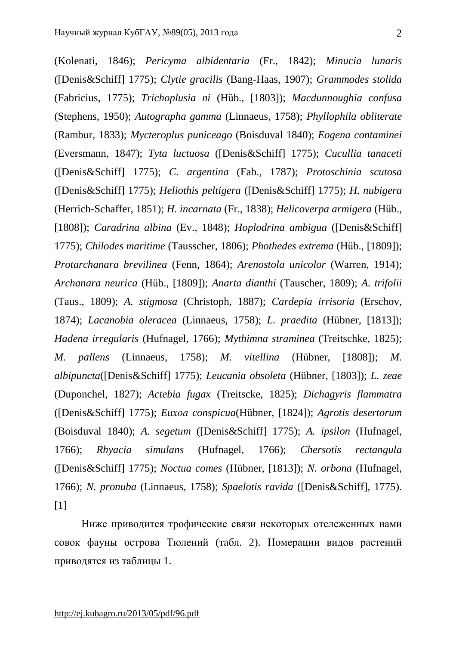(Kolenati, 1846); *Pericyma albidentaria* (Fr., 1842); *Minucia lunaris* ([Denis&Schiff] 1775); *Clytie gracilis* (Bang-Haas, 1907); *Grammodes stolida* (Fabricius, 1775); *Trichoplusia ni* (Hüb., [1803]); *Macdunnoughia confusa* (Stephens, 1950); *Autographa gamma* (Linnaeus, 1758); *Phyllophila obliterate* (Rambur, 1833); *Mycteroplus puniceago* (Boisduval 1840); *Eogena contaminei* (Eversmann, 1847); *Tyta luctuosa* ([Denis&Schiff] 1775); *Cucullia tanaceti*  ([Denis&Schiff] 1775); *C. argentina* (Fab., 1787); *Protoschinia scutosa* ([Denis&Schiff] 1775); *Heliothis peltigera* ([Denis&Schiff] 1775); *H. nubigera* (Herrich-Schaffer, 1851); *H. incarnata* (Fr., 1838); *Helicoverpa armigera* (Hüb., [1808]); *Caradrina albina* (Ev., 1848); *Hoplodrina ambigua* ([Denis&Schiff] 1775); *Chilodes maritime* (Tausscher, 1806); *Phothedes extrema* (Hüb., [1809]); *Protarchanara brevilinea* (Fenn, 1864); *Arenostola unicolor* (Warren, 1914); *Archanara neurica* (Hüb., [1809]); *Anarta dianthi* (Tauscher, 1809); *A. trifolii*  (Taus., 1809); *A. stigmosa* (Christoph, 1887); *Cardepia irrisoria* (Erschov, 1874); *Lacanobia oleracea* (Linnaeus, 1758); *L. praedita* (Hübner, [1813]); *Hadena irregularis* (Hufnagel, 1766); *Mythimna straminea* (Treitschke, 1825); *M. pallens* (Linnaeus, 1758); *M. vitellina* (Hübner, [1808]); *M. albipuncta*([Denis&Schiff] 1775); *Leucania obsoleta* (Hübner, [1803]); *L. zeae* (Duponchel, 1827); *Actebia fugax* (Treitscke, 1825); *Dichagyris flammatra* ([Denis&Schiff] 1775); *Euхоа conspicua*(Hübner, [1824]); *Agrotis desertorum*  (Boisduval 1840); *A. segetum* ([Denis&Schiff] 1775); *A. ipsilon* (Hufnagel, 1766); *Rhyacia simulans* (Hufnagel, 1766); *Chersotis rectangula* ([Denis&Schiff] 1775); *Noctua comes* (Hübner, [1813]); *N. orbona* (Hufnagel, 1766); *N. pronuba* (Linnaeus, 1758); *Spaelotis ravida* ([Denis&Schiff], 1775). [1]

Ниже приводится трофические связи некоторых отслеженных нами совок фауны острова Тюлений (табл. 2). Номерации видов растений приводятся из таблицы 1.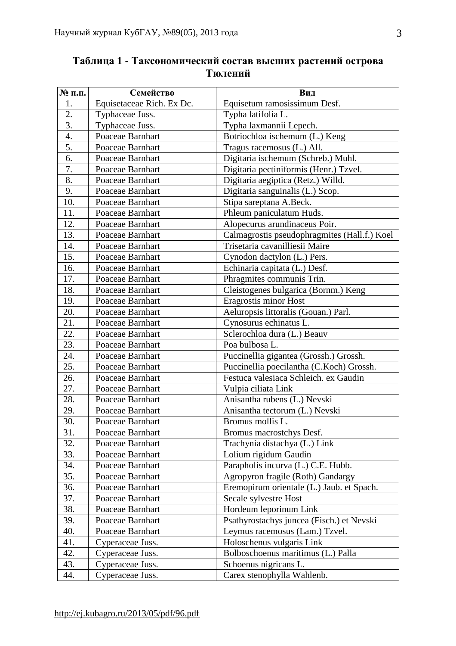| № п.п.           | Семейство                 | Вид                                          |
|------------------|---------------------------|----------------------------------------------|
| 1.               | Equisetaceae Rich. Ex Dc. | Equisetum ramosissimum Desf.                 |
| 2.               | Typhaceae Juss.           | Typha latifolia L.                           |
| $\overline{3}$ . | Typhaceae Juss.           | Typha laxmannii Lepech.                      |
| $\overline{4}$ . | Poaceae Barnhart          | Botriochloa ischemum (L.) Keng               |
| 5.               | Poaceae Barnhart          | Tragus racemosus (L.) All.                   |
| 6.               | Poaceae Barnhart          | Digitaria ischemum (Schreb.) Muhl.           |
| 7.               | Poaceae Barnhart          | Digitaria pectiniformis (Henr.) Tzvel.       |
| 8.               | Poaceae Barnhart          | Digitaria aegiptica (Retz.) Willd.           |
| 9.               | Poaceae Barnhart          | Digitaria sanguinalis (L.) Scop.             |
| 10.              | Poaceae Barnhart          | Stipa sareptana A.Beck.                      |
| 11.              | Poaceae Barnhart          | Phleum paniculatum Huds.                     |
| 12.              | Poaceae Barnhart          | Alopecurus arundinaceus Poir.                |
| 13.              | Poaceae Barnhart          | Calmagrostis pseudophragmites (Hall.f.) Koel |
| 14.              | Poaceae Barnhart          | Trisetaria cavanilliesii Maire               |
| 15.              | Poaceae Barnhart          | Cynodon dactylon (L.) Pers.                  |
| 16.              | Poaceae Barnhart          | Echinaria capitata (L.) Desf.                |
| 17.              | Poaceae Barnhart          | Phragmites communis Trin.                    |
| 18.              | Poaceae Barnhart          | Cleistogenes bulgarica (Bornm.) Keng         |
| 19.              | Poaceae Barnhart          | Eragrostis minor Host                        |
| 20.              | Poaceae Barnhart          | Aeluropsis littoralis (Gouan.) Parl.         |
| 21.              | Poaceae Barnhart          | Cynosurus echinatus L.                       |
| 22.              | Poaceae Barnhart          | Sclerochloa dura (L.) Beauv                  |
| 23.              | Poaceae Barnhart          | Poa bulbosa L.                               |
| 24.              | Poaceae Barnhart          | Puccinellia gigantea (Grossh.) Grossh.       |
| 25.              | Poaceae Barnhart          | Puccinellia poecilantha (C.Koch) Grossh.     |
| 26.              | Poaceae Barnhart          | Festuca valesiaca Schleich. ex Gaudin        |
| 27.              | Poaceae Barnhart          | Vulpia ciliata Link                          |
| 28.              | Poaceae Barnhart          | Anisantha rubens (L.) Nevski                 |
| 29.              | Poaceae Barnhart          | Anisantha tectorum (L.) Nevski               |
| 30.              | Poaceae Barnhart          | Bromus mollis L.                             |
| 31.              | Poaceae Barnhart          | Bromus macrostchys Desf.                     |
| 32.              | Poaceae Barnhart          | Trachynia distachya (L.) Link                |
| 33.              | Poaceae Barnhart          | Lolium rigidum Gaudin                        |
| 34.              | Poaceae Barnhart          | Parapholis incurva (L.) C.E. Hubb.           |
| 35.              | Poaceae Barnhart          | Agropyron fragile (Roth) Gandargy            |
| 36.              | Poaceae Barnhart          | Eremopirum orientale (L.) Jaub. et Spach.    |
| 37.              | Poaceae Barnhart          | Secale sylvestre Host                        |
| 38.              | Poaceae Barnhart          | Hordeum leporinum Link                       |
| 39.              | Poaceae Barnhart          | Psathyrostachys juncea (Fisch.) et Nevski    |
| 40.              | Poaceae Barnhart          | Leymus racemosus (Lam.) Tzvel.               |
| 41.              | Cyperaceae Juss.          | Holoschenus vulgaris Link                    |
| 42.              | Cyperaceae Juss.          | Bolboschoenus maritimus (L.) Palla           |
| 43.              | Cyperaceae Juss.          | Schoenus nigricans L.                        |
| 44.              | Cyperaceae Juss.          | Carex stenophylla Wahlenb.                   |

# **Таблица 1 - Таксономический состав высших растений острова Тюлений**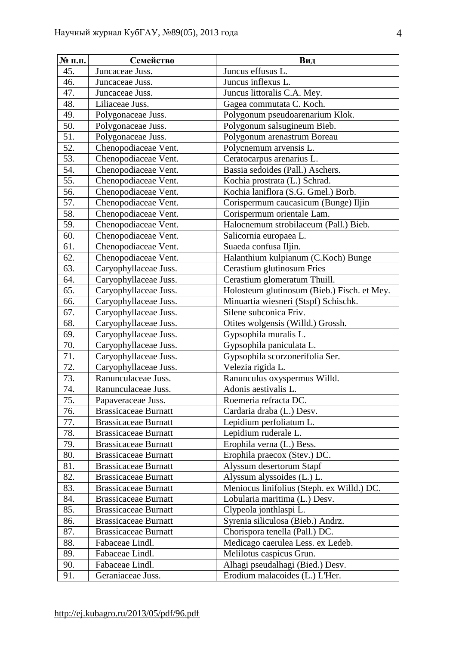| № п.п. | Семейство                   | Вид                                         |
|--------|-----------------------------|---------------------------------------------|
| 45.    | Juncaceae Juss.             | Juncus effusus L.                           |
| 46.    | Juncaceae Juss.             | Juncus inflexus L.                          |
| 47.    | Juncaceae Juss.             | Juncus littoralis C.A. Mey.                 |
| 48.    | Liliaceae Juss.             | Gagea commutata C. Koch.                    |
| 49.    | Polygonaceae Juss.          | Polygonum pseudoarenarium Klok.             |
| 50.    | Polygonaceae Juss.          | Polygonum salsugineum Bieb.                 |
| 51.    | Polygonaceae Juss.          | Polygonum arenastrum Boreau                 |
| 52.    | Chenopodiaceae Vent.        | Polycnemum arvensis L.                      |
| 53.    | Chenopodiaceae Vent.        | Ceratocarpus arenarius L.                   |
| 54.    | Chenopodiaceae Vent.        | Bassia sedoides (Pall.) Aschers.            |
| 55.    | Chenopodiaceae Vent.        | Kochia prostrata (L.) Schrad.               |
| 56.    | Chenopodiaceae Vent.        | Kochia laniflora (S.G. Gmel.) Borb.         |
| 57.    | Chenopodiaceae Vent.        | Corispermum caucasicum (Bunge) Iljin        |
| 58.    | Chenopodiaceae Vent.        | Corispermum orientale Lam.                  |
| 59.    | Chenopodiaceae Vent.        | Halocnemum strobilaceum (Pall.) Bieb.       |
| 60.    | Chenopodiaceae Vent.        | Salicornia europaea L.                      |
| 61.    | Chenopodiaceae Vent.        | Suaeda confusa Iljin.                       |
| 62.    | Chenopodiaceae Vent.        | Halanthium kulpianum (C.Koch) Bunge         |
| 63.    | Caryophyllaceae Juss.       | Cerastium glutinosum Fries                  |
| 64.    | Caryophyllaceae Juss.       | Cerastium glomeratum Thuill.                |
| 65.    | Caryophyllaceae Juss.       | Holosteum glutinosum (Bieb.) Fisch. et Mey. |
| 66.    | Caryophyllaceae Juss.       | Minuartia wiesneri (Stspf) Schischk.        |
| 67.    | Caryophyllaceae Juss.       | Silene subconica Friv.                      |
| 68.    | Caryophyllaceae Juss.       | Otites wolgensis (Willd.) Grossh.           |
| 69.    | Caryophyllaceae Juss.       | Gypsophila muralis L.                       |
| 70.    | Caryophyllaceae Juss.       | Gypsophila paniculata L.                    |
| 71.    | Caryophyllaceae Juss.       | Gypsophila scorzonerifolia Ser.             |
| 72.    | Caryophyllaceae Juss.       | Velezia rigida L.                           |
| 73.    | Ranunculaceae Juss.         | Ranunculus oxyspermus Willd.                |
| 74.    | Ranunculaceae Juss.         | Adonis aestivalis L.                        |
| 75.    | Papaveraceae Juss.          | Roemeria refracta DC.                       |
| 76.    | <b>Brassicaceae Burnatt</b> | Cardaria draba (L.) Desv.                   |
| 77.    | <b>Brassicaceae Burnatt</b> | Lepidium perfoliatum L.                     |
| 78.    | <b>Brassicaceae Burnatt</b> | Lepidium ruderale L.                        |
| 79.    | <b>Brassicaceae Burnatt</b> | Erophila verna (L.) Bess.                   |
| 80.    | <b>Brassicaceae Burnatt</b> | Erophila praecox (Stev.) DC.                |
| 81.    | <b>Brassicaceae Burnatt</b> | Alyssum desertorum Stapf                    |
| 82.    | <b>Brassicaceae Burnatt</b> | Alyssum alyssoides (L.) L.                  |
| 83.    | <b>Brassicaceae Burnatt</b> | Meniocus linifolius (Steph. ex Willd.) DC.  |
| 84.    | <b>Brassicaceae Burnatt</b> | Lobularia maritima (L.) Desv.               |
| 85.    | <b>Brassicaceae Burnatt</b> | Clypeola jonthlaspi L.                      |
| 86.    | <b>Brassicaceae Burnatt</b> | Syrenia siliculosa (Bieb.) Andrz.           |
| 87.    | <b>Brassicaceae Burnatt</b> | Chorispora tenella (Pall.) DC.              |
| 88.    | Fabaceae Lindl.             | Medicago caerulea Less. ex Ledeb.           |
| 89.    | Fabaceae Lindl.             | Melilotus caspicus Grun.                    |
| 90.    | Fabaceae Lindl.             | Alhagi pseudalhagi (Bied.) Desv.            |
| 91.    | Geraniaceae Juss.           | Erodium malacoides (L.) L'Her.              |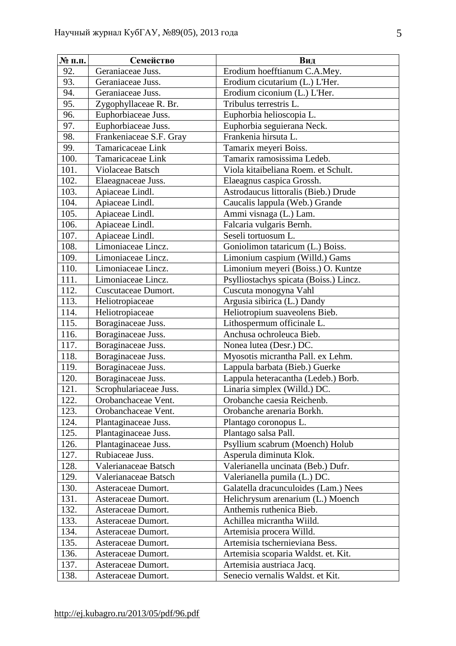| № п.п. | Семейство               | Вид                                    |
|--------|-------------------------|----------------------------------------|
| 92.    | Geraniaceae Juss.       | Erodium hoefftianum C.A.Mey.           |
| 93.    | Geraniaceae Juss.       | Erodium cicutarium (L.) L'Her.         |
| 94.    | Geraniaceae Juss.       | Erodium ciconium (L.) L'Her.           |
| 95.    | Zygophyllaceae R. Br.   | Tribulus terrestris L.                 |
| 96.    | Euphorbiaceae Juss.     | Euphorbia helioscopia L.               |
| 97.    | Euphorbiaceae Juss.     | Euphorbia seguierana Neck.             |
| 98.    | Frankeniaceae S.F. Gray | Frankenia hirsuta L.                   |
| 99.    | Tamaricaceae Link       | Tamarix meyeri Boiss.                  |
| 100.   | Tamaricaceae Link       | Tamarix ramosissima Ledeb.             |
| 101.   | Violaceae Batsch        | Viola kitaibeliana Roem. et Schult.    |
| 102.   | Elaeagnaceae Juss.      | Elaeagnus caspica Grossh.              |
| 103.   | Apiaceae Lindl.         | Astrodaucus littoralis (Bieb.) Drude   |
| 104.   | Apiaceae Lindl.         | Caucalis lappula (Web.) Grande         |
| 105.   | Apiaceae Lindl.         | Ammi visnaga (L.) Lam.                 |
| 106.   | Apiaceae Lindl.         | Falcaria vulgaris Bernh.               |
| 107.   | Apiaceae Lindl.         | Seseli tortuosum L.                    |
| 108.   | Limoniaceae Lincz.      | Goniolimon tataricum (L.) Boiss.       |
| 109.   | Limoniaceae Lincz.      | Limonium caspium (Willd.) Gams         |
| 110.   | Limoniaceae Lincz.      | Limonium meyeri (Boiss.) O. Kuntze     |
| 111.   | Limoniaceae Lincz.      | Psylliostachys spicata (Boiss.) Lincz. |
| 112.   | Cuscutaceae Dumort.     | Cuscuta monogyna Vahl                  |
| 113.   | Heliotropiaceae         | Argusia sibirica (L.) Dandy            |
| 114.   | Heliotropiaceae         | Heliotropium suaveolens Bieb.          |
| 115.   | Boraginaceae Juss.      | Lithospermum officinale L.             |
| 116.   | Boraginaceae Juss.      | Anchusa ochroleuca Bieb.               |
| 117.   | Boraginaceae Juss.      | Nonea lutea (Desr.) DC.                |
| 118.   | Boraginaceae Juss.      | Myosotis micrantha Pall. ex Lehm.      |
| 119.   | Boraginaceae Juss.      | Lappula barbata (Bieb.) Guerke         |
| 120.   | Boraginaceae Juss.      | Lappula heteracantha (Ledeb.) Borb.    |
| 121.   | Scrophulariaceae Juss.  | Linaria simplex (Willd.) DC.           |
| 122.   | Orobanchaceae Vent.     | Orobanche caesia Reichenb.             |
| 123.   | Orobanchaceae Vent.     | Orobanche arenaria Borkh.              |
| 124.   | Plantaginaceae Juss.    | Plantago coronopus L.                  |
| 125.   | Plantaginaceae Juss.    | Plantago salsa Pall.                   |
| 126.   | Plantaginaceae Juss.    | Psyllium scabrum (Moench) Holub        |
| 127.   | Rubiaceae Juss.         | Asperula diminuta Klok.                |
| 128.   | Valerianaceae Batsch    | Valerianella uncinata (Beb.) Dufr.     |
| 129.   | Valerianaceae Batsch    | Valerianella pumila (L.) DC.           |
| 130.   | Asteraceae Dumort.      | Galatella dracunculoides (Lam.) Nees   |
| 131.   | Asteraceae Dumort.      | Helichrysum arenarium (L.) Moench      |
| 132.   | Asteraceae Dumort.      | Anthemis ruthenica Bieb.               |
| 133.   | Asteraceae Dumort.      | Achillea micrantha Wiild.              |
| 134.   | Asteraceae Dumort.      | Artemisia procera Willd.               |
| 135.   | Asteraceae Dumort.      | Artemisia tschernieviana Bess.         |
| 136.   | Asteraceae Dumort.      | Artemisia scoparia Waldst. et. Kit.    |
| 137.   | Asteraceae Dumort.      | Artemisia austriaca Jacq.              |
| 138.   | Asteraceae Dumort.      | Senecio vernalis Waldst. et Kit.       |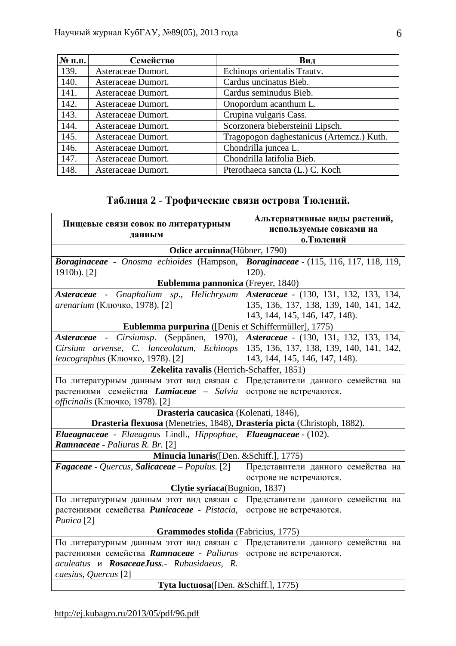| $N_2$ п.п. | Семейство          | Вид                                       |
|------------|--------------------|-------------------------------------------|
| 139.       | Asteraceae Dumort. | Echinops orientalis Trauty.               |
| 140.       | Asteraceae Dumort. | Cardus uncinatus Bieb.                    |
| 141.       | Asteraceae Dumort. | Cardus seminudus Bieb.                    |
| 142.       | Asteraceae Dumort. | Onopordum acanthum L.                     |
| 143.       | Asteraceae Dumort. | Crupina vulgaris Cass.                    |
| 144.       | Asteraceae Dumort. | Scorzonera biebersteinii Lipsch.          |
| 145.       | Asteraceae Dumort. | Tragopogon daghestanicus (Artemcz.) Kuth. |
| 146.       | Asteraceae Dumort. | Chondrilla juncea L.                      |
| 147.       | Asteraceae Dumort. | Chondrilla latifolia Bieb.                |
| 148.       | Asteraceae Dumort. | Pterothaeca sancta (L.) C. Koch           |

# **Таблица 2 - Трофические связи острова Тюлений.**

| Пищевые связи совок по литературным                                      | Альтернативные виды растений,                   |  |
|--------------------------------------------------------------------------|-------------------------------------------------|--|
| данным                                                                   | используемые совками на                         |  |
|                                                                          | о. Тюлений                                      |  |
| Odice arcuinna(Hübner, 1790)                                             |                                                 |  |
| Boraginaceae - Onosma echioides (Hampson,                                | <b>Boraginaceae - (115, 116, 117, 118, 119,</b> |  |
| 1910b). [2]                                                              | $120$ ).                                        |  |
| Eublemma pannonica (Freyer, 1840)                                        |                                                 |  |
| Asteraceae - Gnaphalium sp., Helichrysum                                 | Asteraceae - (130, 131, 132, 133, 134,          |  |
| arenarium (Ключко, 1978). [2]                                            | 135, 136, 137, 138, 139, 140, 141, 142,         |  |
|                                                                          | 143, 144, 145, 146, 147, 148).                  |  |
| Eublemma purpurina ([Denis et Schiffermüller], 1775)                     |                                                 |  |
| Asteraceae - Cirsiumsp. (Seppänen,<br>$1970$ ,                           | Asteraceae - (130, 131, 132, 133, 134,          |  |
| Cirsium arvense, C. lanceolatum, Echinops                                | 135, 136, 137, 138, 139, 140, 141, 142,         |  |
| leucographus (Ключко, 1978). [2]                                         | 143, 144, 145, 146, 147, 148).                  |  |
| Zekelita ravalis (Herrich-Schaffer, 1851)                                |                                                 |  |
| По литературным данным этот вид связан с                                 | Представители данного семейства на              |  |
| растениями семейства Lamiaceae - Salvia                                  | острове не встречаются.                         |  |
| officinalis (Ключко, 1978). [2]                                          |                                                 |  |
| Drasteria caucasica (Kolenati, 1846),                                    |                                                 |  |
| Drasteria flexuosa (Menetries, 1848), Drasteria picta (Christoph, 1882). |                                                 |  |
| Elaeagnaceae - Elaeagnus Lindl., Hippophae, Elaeagnaceae - (102).        |                                                 |  |
| <b>Ramnaceae</b> - Paliurus R. Br. [2]                                   |                                                 |  |
| Minucia lunaris([Den. & Schiff.], 1775)                                  |                                                 |  |
| Fagaceae - Quercus, Salicaceae - Populus. [2]                            | Представители данного семейства на              |  |
|                                                                          | острове не встречаются.                         |  |
| Clytie syriaca (Bugnion, 1837)                                           |                                                 |  |
| По литературным данным этот вид связан с                                 | Представители данного семейства на              |  |
| растениями семейства <i>Punicaceae - Pistacia</i> ,                      | острове не встречаются.                         |  |
| Punica <sup>[2]</sup>                                                    |                                                 |  |
| Grammodes stolida (Fabricius, 1775)                                      |                                                 |  |
| По литературным данным этот вид связан с                                 | Представители данного семейства на              |  |
| растениями семейства Ramnaceae - Paliurus                                | острове не встречаются.                         |  |
| aculeatus u RosaceaeJuss.- Rubusidaeus, R.                               |                                                 |  |
| caesius, Quercus [2]                                                     |                                                 |  |
| Tyta luctuosa([Den. & Schiff.], 1775)                                    |                                                 |  |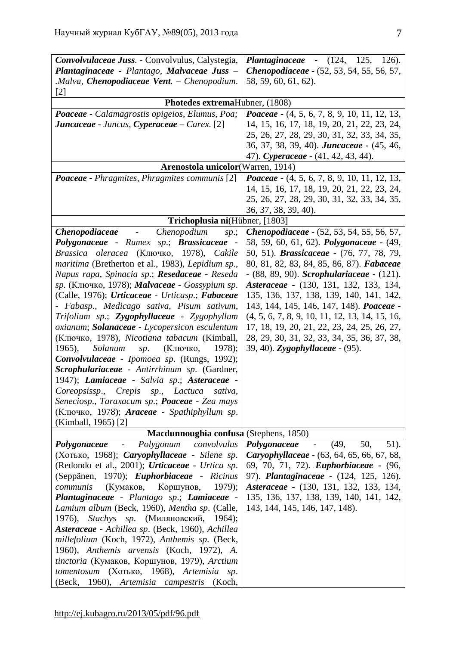| Convolvulaceae Juss. - Convolvulus, Calystegia,               | <b>Plantaginaceae -</b> (124, 125, 126).                           |
|---------------------------------------------------------------|--------------------------------------------------------------------|
| Plantaginaceae - Plantago, Malvaceae Juss -                   | <b>Chenopodiaceae - (52, 53, 54, 55, 56, 57,</b>                   |
| .Malva, Chenopodiaceae Vent. - Chenopodium.                   | 58, 59, 60, 61, 62).                                               |
| $[2]$                                                         |                                                                    |
| Photedes extremaHubner, (1808)                                |                                                                    |
| Poaceae - Calamagrostis opigeios, Elumus, Poa;                | <i>Poaceae</i> $-$ (4, 5, 6, 7, 8, 9, 10, 11, 12, 13,              |
| <b>Juncaceae</b> - Juncus, Cyperaceae – Carex. [2]            | 14, 15, 16, 17, 18, 19, 20, 21, 22, 23, 24,                        |
|                                                               | 25, 26, 27, 28, 29, 30, 31, 32, 33, 34, 35,                        |
|                                                               | 36, 37, 38, 39, 40). <b><i>Juncaceae</i></b> - (45, 46,            |
|                                                               | 47). Cyperaceae - (41, 42, 43, 44).                                |
| Arenostola unicolor (Warren, 1914)                            |                                                                    |
| <b>Poaceae - Phragmites, Phragmites communis</b> [2]          | <i>Poaceae</i> $-$ (4, 5, 6, 7, 8, 9, 10, 11, 12, 13,              |
|                                                               | 14, 15, 16, 17, 18, 19, 20, 21, 22, 23, 24,                        |
|                                                               | 25, 26, 27, 28, 29, 30, 31, 32, 33, 34, 35,                        |
|                                                               | 36, 37, 38, 39, 40).                                               |
| Trichoplusia ni(Hübner, [1803]                                |                                                                    |
| - Chenopodium<br><i>Chenopodiaceae</i><br>sp.;                | <b>Chenopodiaceae</b> - (52, 53, 54, 55, 56, 57,                   |
| Polygonaceae - Rumex sp.; Brassicaceae -                      | 58, 59, 60, 61, 62). <i>Polygonaceae</i> - (49,                    |
| Brassica oleracea (Ключко, 1978), Cakile                      | 50, 51). <i>Brassicaceae</i> - (76, 77, 78, 79,                    |
| maritima (Bretherton et al., 1983), Lepidium sp.,             | 80, 81, 82, 83, 84, 85, 86, 87). Fabaceae                          |
|                                                               |                                                                    |
| Napus rapa, Spinacia sp.; Resedaceae - Reseda                 | $-$ (88, 89, 90). Scrophulariaceae $-$ (121).                      |
| sp. (Ключко, 1978); Malvaceae - Gossypium sp.                 | Asteraceae - (130, 131, 132, 133, 134,                             |
| (Calle, 1976); Urticaceae - Urticasp.; Fabaceae               | 135, 136, 137, 138, 139, 140, 141, 142,                            |
| - Fabasp., Medicago sativa, Pisum sativum,                    | 143, 144, 145, 146, 147, 148). Poaceae -                           |
| Trifolium sp.; Zygophyllaceae - Zygophyllum                   | $(4, 5, 6, 7, 8, 9, 10, 11, 12, 13, 14, 15, 16,$                   |
| oxianum; Solanaceae - Lycopersicon esculentum                 | 17, 18, 19, 20, 21, 22, 23, 24, 25, 26, 27,                        |
| (Ключко, 1978), Nicotiana tabacum (Kimball,                   | 28, 29, 30, 31, 32, 33, 34, 35, 36, 37, 38,                        |
| $1965$ ,<br>Solanum<br>(Ключко,<br>$1978$ ;<br>sp.            | 39, 40). Zygophyllaceae - (95).                                    |
| Convolvulaceae - Ipomoea sp. (Rungs, 1992);                   |                                                                    |
| Scrophulariaceae - Antirrhinum sp. (Gardner,                  |                                                                    |
| 1947); Lamiaceae - Salvia sp.; Asteraceae -                   |                                                                    |
| Coreopsissp., Crepis<br>sp.,<br>Lactuca<br>sativa,            |                                                                    |
| Seneciosp., Taraxacum sp.; <b>Poaceae</b> - Zea mays          |                                                                    |
| (Ключко, 1978); Araceae - Spathiphyllum sp.                   |                                                                    |
| (Kimball, 1965) [2]                                           |                                                                    |
| Macdunnoughia confusa (Stephens, 1850)                        |                                                                    |
| Polygonum<br>convolvulus<br>Polygonaceae<br>$\qquad \qquad -$ | $51$ ).<br>(49,<br>50,<br>Polygonaceae<br>$\overline{\phantom{a}}$ |
| (Хотько, 1968); <i>Caryophyllaceae</i> - Silene sp.           | Caryophyllaceae - (63, 64, 65, 66, 67, 68,                         |
| (Redondo et al., 2001); Urticaceae - Urtica sp.               | 69, 70, 71, 72). <i>Euphorbiaceae</i> - (96,                       |
| (Seppänen, 1970); Euphorbiaceae - Ricinus                     | 97). Plantaginaceae - (124, 125, 126).                             |
| (Кумаков, Коршунов,<br>$1979$ ;<br>communis                   | Asteraceae - (130, 131, 132, 133, 134,                             |
| Plantaginaceae - Plantago sp.; Lamiaceae -                    | 135, 136, 137, 138, 139, 140, 141, 142,                            |
| Lamium album (Beck, 1960), Mentha sp. (Calle,                 | 143, 144, 145, 146, 147, 148).                                     |
| 1976),<br>Stachys sp. (Миляновский, 1964);                    |                                                                    |
| Asteraceae - Achillea sp. (Beck, 1960), Achillea              |                                                                    |
| millefolium (Koch, 1972), Anthemis sp. (Beck,                 |                                                                    |
| 1960), Anthemis arvensis (Koch, 1972), A.                     |                                                                    |
| tinctoria (Кумаков, Коршунов, 1979), Arctium                  |                                                                    |
| tomentosum (Хотько, 1968), Artemisia<br>sp.                   |                                                                    |
| (Beck, 1960), Artemisia campestris (Koch,                     |                                                                    |
|                                                               |                                                                    |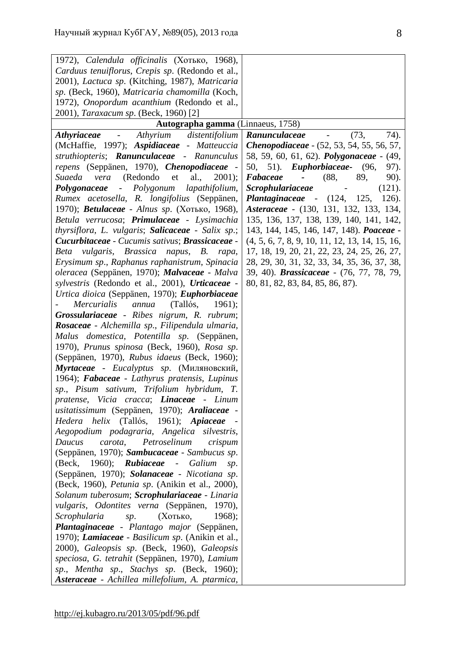| 1972), Calendula officinalis (Хотько, 1968),                           |                                                                                                                      |
|------------------------------------------------------------------------|----------------------------------------------------------------------------------------------------------------------|
| Carduus tenuiflorus, Crepis sp. (Redondo et al.,                       |                                                                                                                      |
| 2001), Lactuca sp. (Kitching, 1987), Matricaria                        |                                                                                                                      |
| sp. (Beck, 1960), Matricaria chamomilla (Koch,                         |                                                                                                                      |
| 1972), Onopordum acanthium (Redondo et al.,                            |                                                                                                                      |
| 2001), Taraxacum sp. (Beck, 1960) [2]                                  |                                                                                                                      |
| Autographa gamma (Linnaeus, 1758)                                      |                                                                                                                      |
| Athyrium distentifolium<br><i><b>Athyriaceae</b></i><br>$\blacksquare$ | (73,<br>74).<br>Ranunculaceae<br>$\frac{1}{2} \left( \frac{1}{2} \right)$ , $\frac{1}{2} \left( \frac{1}{2} \right)$ |
| (McHaffie, 1997); Aspidiaceae - Matteuccia                             | Chenopodiaceae - (52, 53, 54, 55, 56, 57,                                                                            |
| struthiopteris; Ranunculaceae - Ranunculus                             | 58, 59, 60, 61, 62). <i>Polygonaceae</i> - (49,                                                                      |
| repens (Seppänen, 1970), Chenopodiaceae -                              | 50, 51). <i>Euphorbiaceae</i> - (96,<br>97).                                                                         |
| (Redondo et<br>al., $2001$ ;<br>Suaeda vera                            | 89,<br>Fabaceae<br>(88,<br>90).<br>$\sim 100$                                                                        |
| Polygonum<br>lapathifolium,<br>Polygonaceae<br>$\omega_{\rm{eff}}$     | <b>Scrophulariaceae</b><br>(121).<br>$\overline{\phantom{a}}$                                                        |
| Rumex acetosella, R. longifolius (Seppänen,                            | <i>Plantaginaceae</i> - $(124, 125,$<br>126).                                                                        |
| 1970); Betulaceae - Alnus sp. (Хотько, 1968),                          | Asteraceae - (130, 131, 132, 133, 134,                                                                               |
| Betula verrucosa; <b>Primulaceae</b> - Lysimachia                      | 135, 136, 137, 138, 139, 140, 141, 142,                                                                              |
| thyrsiflora, L. vulgaris; Salicaceae - Salix sp.;                      | 143, 144, 145, 146, 147, 148). Poaceae -                                                                             |
| Cucurbitaceae - Cucumis sativus; Brassicaceae -                        | $(4, 5, 6, 7, 8, 9, 10, 11, 12, 13, 14, 15, 16,$                                                                     |
| Beta vulgaris, Brassica napus, B. rapa,                                | 17, 18, 19, 20, 21, 22, 23, 24, 25, 26, 27,                                                                          |
| Erysimum sp., Raphanus raphanistrum, Spinacia                          | 28, 29, 30, 31, 32, 33, 34, 35, 36, 37, 38,                                                                          |
| oleracea (Seppänen, 1970); Malvaceae - Malva                           | 39, 40). <i>Brassicaceae</i> - (76, 77, 78, 79,                                                                      |
| sylvestris (Redondo et al., 2001), Urticaceae -                        | 80, 81, 82, 83, 84, 85, 86, 87).                                                                                     |
| Urtica dioica (Seppänen, 1970); Euphorbiaceae                          |                                                                                                                      |
| (Tallós,<br><i>Mercurialis</i><br>annua<br>1961);                      |                                                                                                                      |
| Grossulariaceae - Ribes nigrum, R. rubrum;                             |                                                                                                                      |
| <b>Rosaceae</b> - Alchemilla sp., Filipendula ulmaria,                 |                                                                                                                      |
| Malus domestica, Potentilla sp. (Seppänen,                             |                                                                                                                      |
| 1970), Prunus spinosa (Beck, 1960), Rosa sp.                           |                                                                                                                      |
| (Seppänen, 1970), Rubus idaeus (Beck, 1960);                           |                                                                                                                      |
| Myrtaceae - Eucalyptus sp. (Миляновский,                               |                                                                                                                      |
| 1964); Fabaceae - Lathyrus pratensis, Lupinus                          |                                                                                                                      |
| sp., Pisum sativum, Trifolium hybridum, T.                             |                                                                                                                      |
| pratense, Vicia cracca; Linaceae - Linum                               |                                                                                                                      |
| usitatissimum (Seppänen, 1970); Araliaceae -                           |                                                                                                                      |
| Hedera helix (Tallós, 1961); Apiaceae                                  |                                                                                                                      |
| Aegopodium podagraria, Angelica<br>silvestris,                         |                                                                                                                      |
| Petroselinum<br>Daucus<br>carota,<br>crispum                           |                                                                                                                      |
| (Seppänen, 1970); Sambucaceae - Sambucus sp.                           |                                                                                                                      |
| 1960);<br><b>Rubiaceae</b> -<br>Galium<br>(Beck,<br>sp.                |                                                                                                                      |
| (Seppänen, 1970); Solanaceae - Nicotiana sp.                           |                                                                                                                      |
| (Beck, 1960), <i>Petunia sp.</i> (Anikin et al., 2000),                |                                                                                                                      |
| Solanum tuberosum; Scrophulariaceae - Linaria                          |                                                                                                                      |
| vulgaris, Odontites verna (Seppänen, 1970),                            |                                                                                                                      |
| Scrophularia<br>(Хотько,<br>$1968$ ;<br>sp.                            |                                                                                                                      |
| Plantaginaceae - Plantago major (Seppänen,                             |                                                                                                                      |
| 1970); <i>Lamiaceae</i> - Basilicum sp. (Anikin et al.,                |                                                                                                                      |
| 2000), Galeopsis sp. (Beck, 1960), Galeopsis                           |                                                                                                                      |
| speciosa, G. tetrahit (Seppänen, 1970), Lamium                         |                                                                                                                      |
| sp., Mentha sp., Stachys sp. (Beck, 1960);                             |                                                                                                                      |
| Asteraceae - Achillea millefolium, A. ptarmica,                        |                                                                                                                      |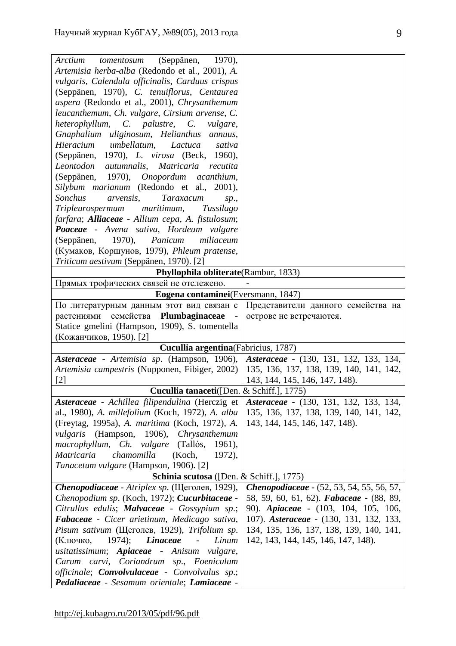| (Seppänen, 1970),<br>tomentosum<br>Arctium                                                           |                                                  |
|------------------------------------------------------------------------------------------------------|--------------------------------------------------|
| Artemisia herba-alba (Redondo et al., 2001), A.                                                      |                                                  |
| vulgaris, Calendula officinalis, Carduus crispus                                                     |                                                  |
| (Seppänen, 1970), C. tenuiflorus, Centaurea                                                          |                                                  |
| aspera (Redondo et al., 2001), Chrysanthemum                                                         |                                                  |
| leucanthemum, Ch. vulgare, Cirsium arvense, C.                                                       |                                                  |
| heterophyllum, C. palustre, C.<br><i>vulgare,</i>                                                    |                                                  |
| Gnaphalium uliginosum, Helianthus annuus,                                                            |                                                  |
| Hieracium umbellatum,<br>Lactuca<br>sativa                                                           |                                                  |
| (Seppänen, 1970), <i>L. virosa</i> (Beck, 1960),                                                     |                                                  |
| Leontodon autumnalis, Matricaria<br>recutita                                                         |                                                  |
| (Seppänen, 1970), Onopordum acanthium,                                                               |                                                  |
| Silybum marianum (Redondo et al., 2001),                                                             |                                                  |
| <b>Sonchus</b><br>arvensis,<br>Taraxacum<br>sp.,                                                     |                                                  |
| Tripleurospermum maritimum,<br>Tussilago                                                             |                                                  |
| farfara; Alliaceae - Allium cepa, A. fistulosum;                                                     |                                                  |
| Poaceae - Avena sativa, Hordeum vulgare                                                              |                                                  |
| (Seppänen, 1970), Panicum<br>miliaceum                                                               |                                                  |
| (Кумаков, Коршунов, 1979), Phleum pratense,                                                          |                                                  |
| Triticum aestivum (Seppänen, 1970). [2]                                                              |                                                  |
| Phyllophila obliterate(Rambur, 1833)                                                                 |                                                  |
| Прямых трофических связей не отслежено.                                                              |                                                  |
| Eogena contaminei (Eversmann, 1847)                                                                  |                                                  |
| По литературным данным этот вид связан с                                                             | Представители данного семейства на               |
| растениями семейства Plumbaginaceae<br>$\overline{\phantom{a}}$                                      | острове не встречаются.                          |
| Statice gmelini (Hampson, 1909), S. tomentella                                                       |                                                  |
| (Кожанчиков, 1950). [2]                                                                              |                                                  |
| Cucullia argentina (Fabricius, 1787)                                                                 |                                                  |
| Asteraceae - Artemisia sp. (Hampson, 1906),                                                          | Asteraceae - (130, 131, 132, 133, 134,           |
| Artemisia campestris (Nupponen, Fibiger, 2002)                                                       | 135, 136, 137, 138, 139, 140, 141, 142,          |
| $\left[ 2\right]$                                                                                    | 143, 144, 145, 146, 147, 148).                   |
| Cucullia tanaceti([Den. & Schiff.], 1775)                                                            |                                                  |
| Asteraceae - Achillea filipendulina (Herczig et                                                      | Asteraceae - (130, 131, 132, 133, 134,           |
| al., 1980), A. millefolium (Koch, 1972), A. alba                                                     | 135, 136, 137, 138, 139, 140, 141, 142,          |
| (Freytag, 1995a), A. maritima (Koch, 1972), A.                                                       | 143, 144, 145, 146, 147, 148).                   |
| vulgaris (Hampson, 1906), Chrysanthemum                                                              |                                                  |
| macrophyllum, Ch. vulgare<br>(Tallós,<br>$1961$ ,                                                    |                                                  |
| Matricaria<br>chamomilla<br>(Koch,<br>1972),                                                         |                                                  |
|                                                                                                      |                                                  |
| Tanacetum vulgare (Hampson, 1906). [2]                                                               |                                                  |
| Schinia scutosa ([Den. & Schiff.], 1775)                                                             |                                                  |
| Chenopodiaceae - Atriplex sp. (Щеголев, 1929),                                                       | <b>Chenopodiaceae - (52, 53, 54, 55, 56, 57,</b> |
| Chenopodium sp. (Koch, 1972); Cucurbitaceae -                                                        | 58, 59, 60, 61, 62). Fabaceae - (88, 89,         |
| Citrullus edulis; Malvaceae - Gossypium sp.;                                                         | 90). Apiaceae - (103, 104, 105, 106,             |
| Fabaceae - Cicer arietinum, Medicago sativa,                                                         | 107). Asteraceae - (130, 131, 132, 133,          |
| Pisum sativum (Щеголев, 1929), Trifolium sp.                                                         | 134, 135, 136, 137, 138, 139, 140, 141,          |
| <b>Linaceae</b><br>(Ключко,<br>$1974$ ;<br>Linum<br>$\overline{\phantom{a}}$                         | 142, 143, 144, 145, 146, 147, 148).              |
| usitatissimum; Apiaceae - Anisum<br><i>vulgare,</i>                                                  |                                                  |
| Carum carvi, Coriandrum sp., Foeniculum                                                              |                                                  |
| officinale; <b>Convolvulaceae</b> - Convolvulus sp.;<br>Pedaliaceae - Sesamum orientale; Lamiaceae - |                                                  |
|                                                                                                      |                                                  |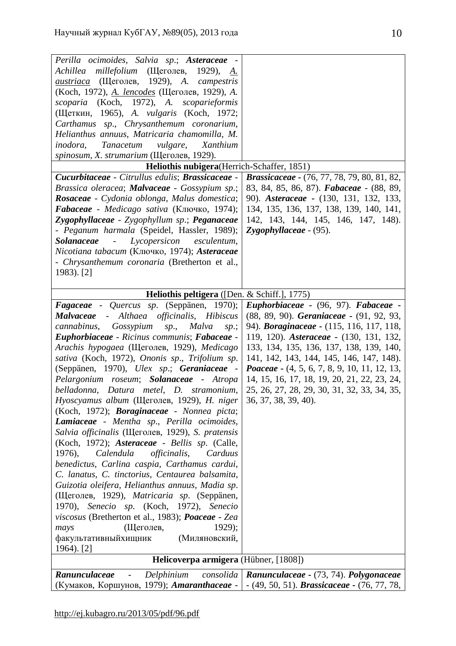| Perilla ocimoides, Salvia sp.; Asteraceae -                                                                                           |                                                              |
|---------------------------------------------------------------------------------------------------------------------------------------|--------------------------------------------------------------|
| Achillea millefolium (Щеголев, 1929), А.                                                                                              |                                                              |
| (Щеголев, 1929), A. campestris<br>austriaca                                                                                           |                                                              |
| (Koch, 1972), <i>A. lencodes</i> (Щеголев, 1929), <i>A.</i>                                                                           |                                                              |
| scoparia (Koch, 1972), A. scoparieformis                                                                                              |                                                              |
| (Щеткин, 1965), A. vulgaris (Koch, 1972;                                                                                              |                                                              |
| Carthamus sp., Chrysanthemum coronarium,                                                                                              |                                                              |
| Helianthus annuus, Matricaria chamomilla, M.                                                                                          |                                                              |
| Tanacetum<br>vulgare,<br>inodora,<br>Xanthium                                                                                         |                                                              |
| spinosum, X. strumarium (Щеголев, 1929).                                                                                              |                                                              |
| Heliothis nubigera (Herrich-Schaffer, 1851)                                                                                           |                                                              |
| Cucurbitaceae - Citrullus edulis; Brassicaceae -                                                                                      | Brassicaceae - (76, 77, 78, 79, 80, 81, 82,                  |
| Brassica oleracea; Malvaceae - Gossypium sp.;                                                                                         | 83, 84, 85, 86, 87). Fabaceae - (88, 89,                     |
| Rosaceae - Cydonia oblonga, Malus domestica;                                                                                          | 90). Asteraceae - (130, 131, 132, 133,                       |
| Fabaceae - Medicago sativa (Ключко, 1974);                                                                                            | 134, 135, 136, 137, 138, 139, 140, 141,                      |
| Zygophyllaceae - Zygophyllum sp.; Peganaceae                                                                                          | 142, 143, 144, 145, 146, 147, 148).                          |
| - Peganum harmala (Speidel, Hassler, 1989);                                                                                           | Zygophyllaceae - (95).                                       |
| - Lycopersicon esculentum,<br><b>Solanaceae</b>                                                                                       |                                                              |
| Nicotiana tabacum (Ключко, 1974); Asteraceae                                                                                          |                                                              |
| - Chrysanthemum coronaria (Bretherton et al.,                                                                                         |                                                              |
| 1983). [2]                                                                                                                            |                                                              |
|                                                                                                                                       |                                                              |
| Heliothis peltigera ([Den. & Schiff.], 1775)                                                                                          |                                                              |
| Fagaceae - Quercus sp. (Seppänen, 1970);                                                                                              | Euphorbiaceae - (96, 97). Fabaceae -                         |
| <b>Malvaceae</b>                                                                                                                      |                                                              |
| - Althaea officinalis, Hibiscus                                                                                                       | (88, 89, 90). Geraniaceae - (91, 92, 93,                     |
| cannabinus, Gossypium<br>sp., Malva<br>sp.;                                                                                           | 94). Boraginaceae - (115, 116, 117, 118,                     |
| Euphorbiaceae - Ricinus communis; Fabaceae -                                                                                          | 119, 120). Asteraceae - (130, 131, 132,                      |
| Arachis hypogaea (Щеголев, 1929), Medicago                                                                                            | 133, 134, 135, 136, 137, 138, 139, 140,                      |
| sativa (Koch, 1972), Ononis sp., Trifolium sp.                                                                                        | 141, 142, 143, 144, 145, 146, 147, 148).                     |
| (Seppänen, 1970), Ulex sp.; Geraniaceae -                                                                                             | <i>Poaceae</i> - (4, 5, 6, 7, 8, 9, 10, 11, 12, 13,          |
| Pelargonium roseum; Solanaceae - Atropa                                                                                               | 14, 15, 16, 17, 18, 19, 20, 21, 22, 23, 24,                  |
| belladonna, Datura metel, D. stramonium,                                                                                              | 25, 26, 27, 28, 29, 30, 31, 32, 33, 34, 35,                  |
| Hyoscyamus album (Щеголев, 1929), H. niger                                                                                            | 36, 37, 38, 39, 40).                                         |
| (Koch, 1972); Boraginaceae - Nonnea picta;                                                                                            |                                                              |
| Lamiaceae - Mentha sp., Perilla ocimoides,                                                                                            |                                                              |
| Salvia officinalis (Щеголев, 1929), S. pratensis                                                                                      |                                                              |
| (Koch, 1972); Asteraceae - Bellis sp. (Calle,                                                                                         |                                                              |
| <i>officinalis,</i><br>1976),<br>Calendula<br>Carduus                                                                                 |                                                              |
|                                                                                                                                       |                                                              |
| benedictus, Carlina caspia, Carthamus cardui,                                                                                         |                                                              |
| C. lanatus, C. tinctorius, Centaurea balsamita,                                                                                       |                                                              |
| Guizotia oleifera, Helianthus annuus, Madia sp.                                                                                       |                                                              |
| (Щеголев, 1929), Matricaria sp. (Seppänen,                                                                                            |                                                              |
| 1970), Senecio sp. (Koch, 1972), Senecio                                                                                              |                                                              |
| viscosus (Bretherton et al., 1983); Poaceae - Zea                                                                                     |                                                              |
| $1929$ ;                                                                                                                              |                                                              |
| (Щеголев,<br>mays                                                                                                                     |                                                              |
| факультативныйхищник<br>(Миляновский,<br>1964). [2]                                                                                   |                                                              |
| Helicoverpa armigera (Hübner, [1808])                                                                                                 |                                                              |
|                                                                                                                                       |                                                              |
| Ranunculaceae<br>Delphinium<br>(Кумаков, Коршунов, 1979); <i>Amaranthaceae</i> -   - (49, 50, 51). <i>Brassicaceae</i> - (76, 77, 78, | $consolida   Ranunculaceae - (73, 74)$ . <b>Polygonaceae</b> |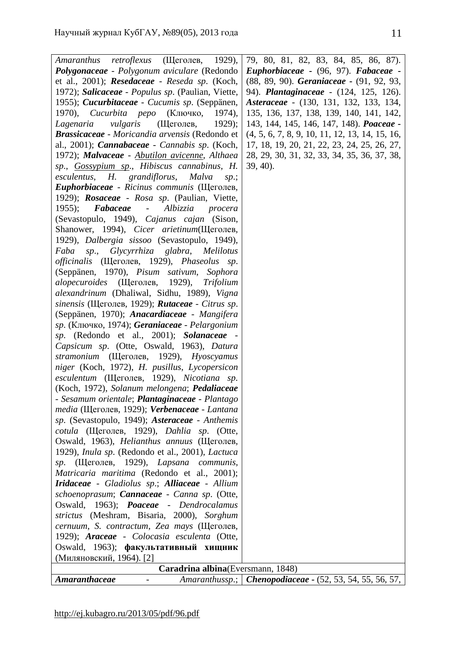| <i>retroflexus</i> (Щеголев, 1929),<br>Amaranthus                   | 79, 80, 81, 82, 83, 84, 85, 86, 87).                              |  |
|---------------------------------------------------------------------|-------------------------------------------------------------------|--|
| Polygonaceae - Polygonum aviculare (Redondo                         | Euphorbiaceae - (96, 97). Fabaceae -                              |  |
| et al., 2001); Resedaceae - Reseda sp. (Koch,                       | (88, 89, 90). Geraniaceae - (91, 92, 93,                          |  |
| 1972); Salicaceae - Populus sp. (Paulian, Viette,                   | 94). Plantaginaceae - (124, 125, 126).                            |  |
| 1955); Cucurbitaceae - Cucumis sp. (Seppänen,                       | Asteraceae - (130, 131, 132, 133, 134,                            |  |
| <i>Cucurbita реро</i> (Ключко,<br>$1970$ ,<br>1974),                | 135, 136, 137, 138, 139, 140, 141, 142,                           |  |
| Lagenaria<br>vulgaris<br>(Щеголев,<br>$1929$ ;                      | 143, 144, 145, 146, 147, 148). Poaceae -                          |  |
| <b>Brassicaceae</b> - Moricandia arvensis (Redondo et               | $(4, 5, 6, 7, 8, 9, 10, 11, 12, 13, 14, 15, 16,$                  |  |
| al., 2001); <i>Cannabaceae</i> - <i>Cannabis sp.</i> (Koch,         | 17, 18, 19, 20, 21, 22, 23, 24, 25, 26, 27,                       |  |
| 1972); Malvaceae - Abutilon avicenne, Althaea                       | 28, 29, 30, 31, 32, 33, 34, 35, 36, 37, 38,                       |  |
| sp., Gossypium sp., Hibiscus cannabinus, H.                         | $39, 40$ ).                                                       |  |
| esculentus, H. grandiflorus, Malva<br>sp.;                          |                                                                   |  |
| Euphorbiaceae - Ricinus communis (Щеголев,                          |                                                                   |  |
| 1929); Rosaceae - Rosa sp. (Paulian, Viette,                        |                                                                   |  |
| $1955$ ; Fabaceae<br>$\sim 100$ km s $^{-1}$<br>Albizzia<br>procera |                                                                   |  |
| (Sevastopulo, 1949), Cajanus cajan (Sison,                          |                                                                   |  |
| Shanower, 1994), Cicer arietinum (Щеголев,                          |                                                                   |  |
| 1929), Dalbergia sissoo (Sevastopulo, 1949),                        |                                                                   |  |
| sp.,<br>Glycyrrhiza glabra,<br><i>Melilotus</i><br>Faba             |                                                                   |  |
| officinalis (Щеголев, 1929), Phaseolus sp.                          |                                                                   |  |
| (Seppänen, 1970), Pisum sativum, Sophora                            |                                                                   |  |
|                                                                     |                                                                   |  |
| <i>alopecuroides</i> (Щеголев, 1929),<br>Trifolium                  |                                                                   |  |
| alexandrinum (Dhaliwal, Sidhu, 1989), Vigna                         |                                                                   |  |
| sinensis (Щеголев, 1929); Rutaceae - Citrus sp.                     |                                                                   |  |
| (Seppänen, 1970); Anacardiaceae - Mangifera                         |                                                                   |  |
| sp. (Ключко, 1974); Geraniaceae - Pelargonium                       |                                                                   |  |
| sp. (Redondo et al., 2001); Solanaceae -                            |                                                                   |  |
| Capsicum sp. (Otte, Oswald, 1963), Datura                           |                                                                   |  |
| stramonium (Щеголев, 1929), Hyoscyamus                              |                                                                   |  |
| niger (Koch, 1972), H. pusillus, Lycopersicon                       |                                                                   |  |
| esculentum (Щеголев, 1929), Nicotiana sp.                           |                                                                   |  |
| (Koch, 1972), Solanum melongena; Pedaliaceae                        |                                                                   |  |
| - Sesamum orientale; Plantaginaceae - Plantago                      |                                                                   |  |
| media (Щеголев, 1929); Verbenaceae - Lantana                        |                                                                   |  |
| sp. (Sevastopulo, 1949); Asteraceae - Anthemis                      |                                                                   |  |
| cotula (Щеголев, 1929), Dahlia sp. (Otte,                           |                                                                   |  |
| Oswald, 1963), <i>Helianthus annuus</i> (Щеголев,                   |                                                                   |  |
| 1929), Inula sp. (Redondo et al., 2001), Lactuca                    |                                                                   |  |
| (Щеголев, 1929), Lapsana communis,<br>sp.                           |                                                                   |  |
| Matricaria maritima (Redondo et al., 2001);                         |                                                                   |  |
| Iridaceae - Gladiolus sp.; Alliaceae - Allium                       |                                                                   |  |
| schoenoprasum; Cannaceae - Canna sp. (Otte,                         |                                                                   |  |
| Oswald, 1963); Poaceae - Dendrocalamus                              |                                                                   |  |
| strictus (Meshram, Bisaria, 2000), Sorghum                          |                                                                   |  |
| cernuum, S. contractum, Zea mays (Щеголев,                          |                                                                   |  |
| 1929); Araceae - Colocasia esculenta (Otte,                         |                                                                   |  |
| Oswald, 1963); факультативный хищник                                |                                                                   |  |
| (Миляновский, 1964). [2]                                            |                                                                   |  |
| Caradrina albina (Eversmann, 1848)                                  |                                                                   |  |
| Amaranthaceae<br>$\qquad \qquad -$                                  | Amaranthussp.;   <b>Chenopodiaceae</b> - (52, 53, 54, 55, 56, 57, |  |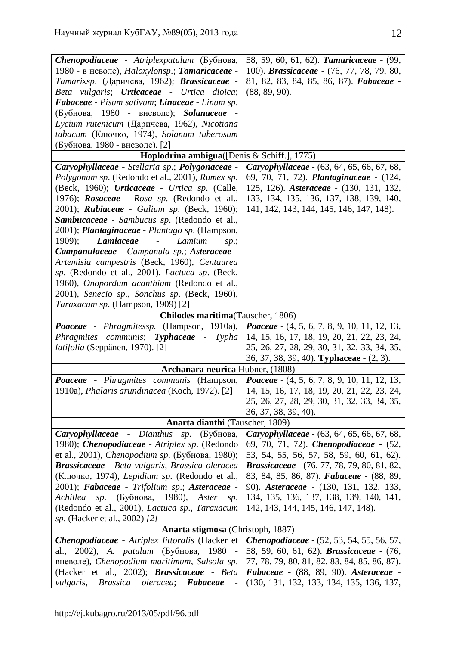| Chenopodiaceae - Atriplexpatulum (Бубнова,                             | 58, 59, 60, 61, 62). Tamaricaceae - (99,              |
|------------------------------------------------------------------------|-------------------------------------------------------|
| 1980 - в неволе), Haloxylonsp.; Tamaricaceae -                         | 100). <i>Brassicaceae</i> - (76, 77, 78, 79, 80,      |
| Tamarixsp. (Даричева, 1962); Brassicaceae -                            | 81, 82, 83, 84, 85, 86, 87). Fabaceae -               |
| Beta vulgaris; Urticaceae - Urtica dioica;                             | (88, 89, 90).                                         |
| Fabaceae - Pisum sativum; Linaceae - Linum sp.                         |                                                       |
| (Бубнова, 1980 - вневоле); Solanaceae -                                |                                                       |
| Lycium rutenicum (Даричева, 1962), Nicotiana                           |                                                       |
| tabacum (Ключко, 1974), Solanum tuberosum                              |                                                       |
| (Бубнова, 1980 - вневоле). [2]                                         |                                                       |
| Hoplodrina ambigua([Denis & Schiff.], 1775)                            |                                                       |
| Caryophyllaceae - Stellaria sp.; Polygonaceae -                        | Caryophyllaceae - (63, 64, 65, 66, 67, 68,            |
| Polygonum sp. (Redondo et al., 2001), Rumex sp.                        | 69, 70, 71, 72). Plantaginaceae - (124,               |
| (Beck, 1960); Urticaceae - Urtica sp. (Calle,                          | 125, 126). Asteraceae - (130, 131, 132,               |
| 1976); Rosaceae - Rosa sp. (Redondo et al.,                            | 133, 134, 135, 136, 137, 138, 139, 140,               |
|                                                                        | 141, 142, 143, 144, 145, 146, 147, 148).              |
| 2001); Rubiaceae - Galium sp. (Beck, 1960);                            |                                                       |
| Sambucaceae - Sambucus sp. (Redondo et al.,                            |                                                       |
| 2001); <i>Plantaginaceae - Plantago sp.</i> (Hampson,                  |                                                       |
| <b>Lamiaceae</b><br>$1909$ ;<br>Lamium<br>$\sim 100$ m $^{-1}$<br>sp.; |                                                       |
| Campanulaceae - Campanula sp.; Asteraceae -                            |                                                       |
| Artemisia campestris (Beck, 1960), Centaurea                           |                                                       |
| sp. (Redondo et al., 2001), Lactuca sp. (Beck,                         |                                                       |
| 1960), Onopordum acanthium (Redondo et al.,                            |                                                       |
| 2001), Senecio sp., Sonchus sp. (Beck, 1960),                          |                                                       |
| Taraxacum sp. (Hampson, 1909) [2]                                      |                                                       |
| Chilodes maritima(Tauscher, 1806)                                      |                                                       |
| Poaceae - Phragmitessp. (Hampson, 1910a),                              | <i>Poaceae</i> $-$ (4, 5, 6, 7, 8, 9, 10, 11, 12, 13, |
| Phragmites communis; Typhaceae - Typha                                 | 14, 15, 16, 17, 18, 19, 20, 21, 22, 23, 24,           |
| <i>latifolia</i> (Seppänen, 1970). [2]                                 | 25, 26, 27, 28, 29, 30, 31, 32, 33, 34, 35,           |
|                                                                        | 36, 37, 38, 39, 40). <b>Typhaceae</b> - (2, 3).       |
| Archanara neurica Hubner, (1808)                                       |                                                       |
| Poaceae - Phragmites communis (Hampson,                                | <i>Poaceae</i> $-$ (4, 5, 6, 7, 8, 9, 10, 11, 12, 13, |
| 1910a), Phalaris arundinacea (Koch, 1972). [2]                         | 14, 15, 16, 17, 18, 19, 20, 21, 22, 23, 24,           |
|                                                                        | 25, 26, 27, 28, 29, 30, 31, 32, 33, 34, 35,           |
|                                                                        | 36, 37, 38, 39, 40).                                  |
| <b>Anarta dianthi</b> (Tauscher, 1809)                                 |                                                       |
| Caryophyllaceae - Dianthus sp. (Бубнова,                               | Caryophyllaceae - (63, 64, 65, 66, 67, 68,            |
| 1980); <i>Chenopodiaceae</i> - <i>Atriplex sp.</i> (Redondo            | 69, 70, 71, 72). <i>Chenopodiaceae</i> - (52,         |
| et al., 2001), <i>Chenopodium sp.</i> (Бубнова, 1980);                 | 53, 54, 55, 56, 57, 58, 59, 60, 61, 62).              |
| <b>Brassicaceae</b> - Beta vulgaris, Brassica oleracea                 | <b>Brassicaceae</b> - (76, 77, 78, 79, 80, 81, 82,    |
| (Ключко, 1974), Lepidium sp. (Redondo et al.,                          | 83, 84, 85, 86, 87). <b>Fabaceae</b> - (88, 89,       |
| 2001); <b>Fabaceae</b> - Trifolium sp.; Asteraceae -                   | 90). <i>Asteraceae</i> - (130, 131, 132, 133,         |
| <i>sp.</i> (Бубнова, 1980), Aster<br>Achillea<br>sp.                   | 134, 135, 136, 137, 138, 139, 140, 141,               |
| (Redondo et al., 2001), Lactuca sp., Taraxacum                         | 142, 143, 144, 145, 146, 147, 148).                   |
| <i>sp.</i> (Hacker et al., 2002) [2]                                   |                                                       |
| Anarta stigmosa (Christoph, 1887)                                      |                                                       |
| Chenopodiaceae - Atriplex littoralis (Hacker et                        | <b>Chenopodiaceae - (52, 53, 54, 55, 56, 57,</b>      |
| al., 2002), A. <i>patulum</i> (Бубнова, 1980 -                         | 58, 59, 60, 61, 62). <b>Brassicaceae</b> - (76,       |
| вневоле), Chenopodium maritimum, Salsola sp.                           | 77, 78, 79, 80, 81, 82, 83, 84, 85, 86, 87).          |
| (Hacker et al., 2002); <b>Brassicaceae</b> - Beta                      | <b>Fabaceae</b> - $(88, 89, 90)$ . Asteraceae -       |
| oleracea;<br>Fabaceae                                                  | $(130, 131, 132, 133, 134, 135, 136, 137,$            |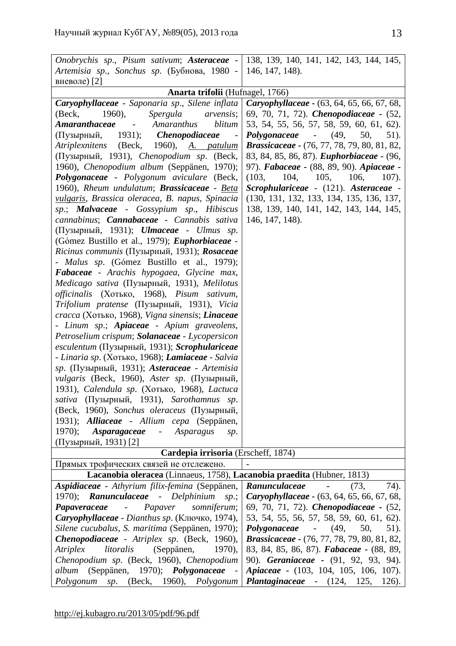| Onobrychis sp., Pisum sativum; Asteraceae -   138, 139, 140, 141, 142, 143, 144, 145,     |                                                    |
|-------------------------------------------------------------------------------------------|----------------------------------------------------|
| Artemisia sp., Sonchus sp. (Бубнова, 1980 -                                               | 146, 147, 148).                                    |
| вневоле) [2]                                                                              |                                                    |
| Anarta trifolii (Hufnagel, 1766)                                                          |                                                    |
| Caryophyllaceae - Saponaria sp., Silene inflata                                           | <b>Caryophyllaceae -</b> (63, 64, 65, 66, 67, 68,  |
| Spergula<br>(Beck,<br>1960),<br><i>arvensis</i> ;                                         | 69, 70, 71, 72). <i>Chenopodiaceae</i> - (52,      |
| Amaranthus<br>blitum<br>Amaranthaceae<br>$\sim$                                           | 53, 54, 55, 56, 57, 58, 59, 60, 61, 62).           |
| 1931);<br><i>Chenopodiaceae</i><br>(Пузырный,                                             | $-$ (49,<br>Polygonaceae<br>50,<br>51).            |
| (Beck, 1960), A. <i>patulum</i><br><i>Atriplexnitens</i>                                  | <b>Brassicaceae</b> - (76, 77, 78, 79, 80, 81, 82, |
| (Пузырный, 1931), Chenopodium sp. (Beck,                                                  | 83, 84, 85, 86, 87). <i>Euphorbiaceae</i> - (96,   |
| 1960), Chenopodium album (Seppänen, 1970);                                                | 97). Fabaceae - (88, 89, 90). Apiaceae -           |
| <b>Polygonaceae</b> - Polygonum aviculare (Beck,                                          | 104,<br>105,<br>106,<br>(103,<br>$107)$ .          |
| 1960), Rheum undulatum; <b>Brassicaceae</b> - Beta                                        | Scrophulariceae - (121). Asteraceae -              |
| vulgaris, Brassica oleracea, B. napus, Spinacia                                           | (130, 131, 132, 133, 134, 135, 136, 137,           |
| sp.; <b>Malvaceae</b> - Gossypium sp., Hibiscus                                           | 138, 139, 140, 141, 142, 143, 144, 145,            |
| cannabinus; Cannabaceae - Cannabis sativa                                                 | 146, 147, 148).                                    |
| (Пузырный, 1931); <i>Ulmaceae</i> - <i>Ulmus sp.</i>                                      |                                                    |
| (Gómez Bustillo et al., 1979); <i>Euphorbiaceae</i> -                                     |                                                    |
| Ricinus communis (Пузырный, 1931); Rosaceae                                               |                                                    |
| - Malus sp. (Gómez Bustillo et al., 1979);                                                |                                                    |
| <b>Fabaceae</b> - Arachis hypogaea, Glycine max,                                          |                                                    |
| Medicago sativa (Пузырный, 1931), Melilotus<br>officinalis (Хотько, 1968), Pisum sativum, |                                                    |
| Trifolium pratense (Пузырный, 1931), Vicia                                                |                                                    |
| cracca (Хотько, 1968), Vigna sinensis; Linaceae                                           |                                                    |
| - Linum sp.; Apiaceae - Apium graveolens,                                                 |                                                    |
| Petroselium crispum; Solanaceae - Lycopersicon                                            |                                                    |
| <i>esculentum</i> (Пузырный, 1931); <i>Scrophulariceae</i>                                |                                                    |
| - Linaria sp. (Хотько, 1968); <b>Lamiaceae</b> - Salvia                                   |                                                    |
| sp. (Пузырный, 1931); Asteraceae - Artemisia                                              |                                                    |
| vulgaris (Beck, 1960), Aster sp. (Пузырный,                                               |                                                    |
| 1931), Calendula sp. (Хотько, 1968), Lactuca                                              |                                                    |
| sativa (Пузырный, 1931), Sarothamnus sp.                                                  |                                                    |
| (Beck, 1960), Sonchus oleraceus (Пузырный,                                                |                                                    |
| Alliaceae - Allium cepa (Seppänen,<br>$1931$ :                                            |                                                    |
| 1970);<br>Asparagaceae<br>Asparagus<br>$\sim$<br>sp.                                      |                                                    |
| (Пузырный, 1931) [2]                                                                      |                                                    |
| Cardepia irrisoria (Erscheff, 1874)                                                       |                                                    |
| Прямых трофических связей не отслежено.                                                   |                                                    |
| Lacanobia oleracea (Linnaeus, 1758), Lacanobia praedita (Hubner, 1813)                    |                                                    |
| Aspidiaceae - Athyrium filix-femina (Seppänen,                                            | Ranunculaceae<br>(73,<br>74).                      |
| 1970); <b>Ranunculaceae</b> - Delphinium<br>sp.;                                          | Caryophyllaceae - (63, 64, 65, 66, 67, 68,         |
| Papaveraceae<br>Papaver<br>somniferum;<br>$\qquad \qquad -$                               | 69, 70, 71, 72). <i>Chenopodiaceae</i> - (52,      |
| Caryophyllaceae - Dianthus sp. (Ключко, 1974),                                            | 53, 54, 55, 56, 57, 58, 59, 60, 61, 62).           |
| Silene cucubalus, S. maritima (Seppänen, 1970);                                           | $Polygonaceae$ $(49, 50,$<br>51).                  |
| Chenopodiaceae - Atriplex sp. (Beck, 1960),                                               | Brassicaceae - (76, 77, 78, 79, 80, 81, 82,        |
| Atriplex<br>litoralis<br>(Seppänen,<br>1970),                                             | 83, 84, 85, 86, 87). Fabaceae - (88, 89,           |
| Chenopodium sp. (Beck, 1960), Chenopodium                                                 | 90). Geraniaceae - (91, 92, 93, 94).               |
| album (Seppänen, 1970); Polygonaceae                                                      | <i>Apiaceae</i> - (103, 104, 105, 106, 107).       |
| Polygonum<br>sp.<br>(Beck,<br>1960,<br>Polygonum                                          | <b>Plantaginaceae</b> - (124,<br>125,<br>126).     |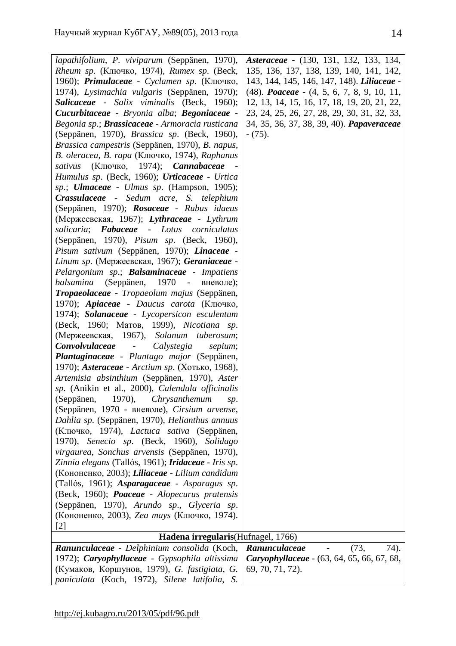| lapathifolium, P. viviparum (Seppänen, 1970),                                                       | Asteraceae - (130, 131, 132, 133, 134,                 |
|-----------------------------------------------------------------------------------------------------|--------------------------------------------------------|
| Rheum sp. (Ключко, 1974), Rumex sp. (Beck,                                                          | 135, 136, 137, 138, 139, 140, 141, 142,                |
| 1960); Primulaceae - Cyclamen sp. (Ключко,                                                          | 143, 144, 145, 146, 147, 148). Liliaceae -             |
| 1974), Lysimachia vulgaris (Seppänen, 1970);                                                        | $(48)$ . <i>Poaceae</i> - $(4, 5, 6, 7, 8, 9, 10, 11,$ |
| Salicaceae - Salix viminalis (Beck, 1960);                                                          | 12, 13, 14, 15, 16, 17, 18, 19, 20, 21, 22,            |
| Cucurbitaceae - Bryonia alba; Begoniaceae -                                                         | 23, 24, 25, 26, 27, 28, 29, 30, 31, 32, 33,            |
| Begonia sp.; <b>Brassicaceae</b> - Armoracia rusticana                                              | 34, 35, 36, 37, 38, 39, 40). Papaveraceae              |
| (Seppänen, 1970), Brassica sp. (Beck, 1960),                                                        | $- (75)$ .                                             |
| Brassica campestris (Seppänen, 1970), B. napus,                                                     |                                                        |
| В. oleracea, В. rapa (Ключко, 1974), Raphanus                                                       |                                                        |
| sativus (Ключко, 1974); <b>Cannabaceae</b>                                                          |                                                        |
| Humulus sp. (Beck, 1960); Urticaceae - Urtica                                                       |                                                        |
| sp.; <b>Ulmaceae</b> - Ulmus sp. (Hampson, 1905);                                                   |                                                        |
| <b>Crassulaceae</b> - Sedum acre, S. telephium                                                      |                                                        |
| (Seppänen, 1970); Rosaceae - Rubus idaeus                                                           |                                                        |
| (Мержеевская, 1967); Lythraceae - Lythrum                                                           |                                                        |
| <b>Fabaceae</b> - Lotus<br>salicaria;<br>corniculatus                                               |                                                        |
| (Seppänen, 1970), <i>Pisum sp.</i> (Beck, 1960),                                                    |                                                        |
| Pisum sativum (Seppänen, 1970); Linaceae -                                                          |                                                        |
| Linum sp. (Мержеевская, 1967); Geraniaceae -                                                        |                                                        |
| Pelargonium sp.; Balsaminaceae - Impatiens                                                          |                                                        |
| (Seppänen, 1970 - вневоле);<br>balsamina                                                            |                                                        |
| Tropaeolaceae - Tropaeolum majus (Seppänen,                                                         |                                                        |
| 1970); Apiaceae - Daucus carota (Ключко,                                                            |                                                        |
| 1974); Solanaceae - Lycopersicon esculentum                                                         |                                                        |
| (Beck, 1960; Матов, 1999), Nicotiana sp.                                                            |                                                        |
| (Мержеевская, 1967), Solanum tuberosum;                                                             |                                                        |
| Convolvulaceae<br>$\mathcal{L}^{\mathcal{L}}(\mathcal{L}^{\mathcal{L}})$ .<br>Calystegia<br>sepium; |                                                        |
| Plantaginaceae - Plantago major (Seppänen,                                                          |                                                        |
| 1970); Asteraceae - Arctium sp. (Хотько, 1968),                                                     |                                                        |
| Artemisia absinthium (Seppänen, 1970), Aster                                                        |                                                        |
| sp. (Anikin et al., 2000), Calendula officinalis                                                    |                                                        |
| (Seppänen, 1970), Chrysanthemum<br>sp.                                                              |                                                        |
| (Seppänen, 1970 - вневоле), Cirsium arvense,                                                        |                                                        |
| Dahlia sp. (Seppänen, 1970), Helianthus annuus                                                      |                                                        |
| (Ключко, 1974), Lactuca sativa (Seppänen,                                                           |                                                        |
| 1970), Senecio sp. (Beck, 1960), Solidago                                                           |                                                        |
| virgaurea, Sonchus arvensis (Seppänen, 1970),                                                       |                                                        |
| Zinnia elegans (Tallós, 1961); <b>Iridaceae</b> - Iris sp.                                          |                                                        |
| (Кононенко, 2003); Liliaceae - Lilium candidum                                                      |                                                        |
| (Tallós, 1961); Asparagaceae - Asparagus sp.                                                        |                                                        |
| (Beck, 1960); Poaceae - Alopecurus pratensis                                                        |                                                        |
| (Seppänen, 1970), Arundo sp., Glyceria sp.                                                          |                                                        |
| (Кононенко, 2003), Zea mays (Ключко, 1974).                                                         |                                                        |
| [2]                                                                                                 |                                                        |
| Hadena irregularis (Hufnagel, 1766)                                                                 |                                                        |
| Ranunculaceae - Delphinium consolida (Koch,                                                         | Ranunculaceae<br>(73,<br>74).                          |
| 1972); Caryophyllaceae - Gypsophila altissima                                                       | Caryophyllaceae - (63, 64, 65, 66, 67, 68,             |
| (Кумаков, Коршунов, 1979), G. fastigiata, G.                                                        | 69, 70, 71, 72).                                       |
| paniculata (Koch, 1972), Silene latifolia, S.                                                       |                                                        |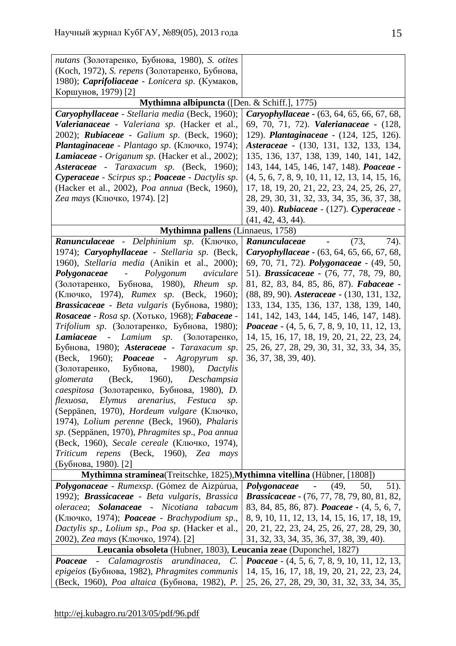| nutans (Золотаренко, Бубнова, 1980), S. otites                                     |                                                          |
|------------------------------------------------------------------------------------|----------------------------------------------------------|
| (Koch, 1972), S. repens (Золотаренко, Бубнова,                                     |                                                          |
| 1980); <i>Caprifoliaceae - Lonicera sp.</i> (Кумаков,                              |                                                          |
| Коршунов, 1979) [2]                                                                |                                                          |
| Mythimna albipuncta ([Den. & Schiff.], 1775)                                       |                                                          |
| Caryophyllaceae - Stellaria media (Beck, 1960);                                    | Caryophyllaceae - (63, 64, 65, 66, 67, 68,               |
| Valerianaceae - Valeriana sp. (Hacker et al.,                                      | 69, 70, 71, 72). Valerianaceae - (128,                   |
| 2002); Rubiaceae - Galium sp. (Beck, 1960);                                        | 129). Plantaginaceae - (124, 125, 126).                  |
| Plantaginaceae - Plantago sp. (Ключко, 1974);                                      | Asteraceae - (130, 131, 132, 133, 134,                   |
| Lamiaceae - Origanum sp. (Hacker et al., 2002);                                    | 135, 136, 137, 138, 139, 140, 141, 142,                  |
| Asteraceae - Taraxacum sp. (Beck, 1960);                                           | 143, 144, 145, 146, 147, 148). Poaceae -                 |
| Cyperaceae - Scirpus sp.; Poaceae - Dactylis sp.                                   | $(4, 5, 6, 7, 8, 9, 10, 11, 12, 13, 14, 15, 16,$         |
| (Hacker et al., 2002), Poa annua (Beck, 1960),                                     | 17, 18, 19, 20, 21, 22, 23, 24, 25, 26, 27,              |
| Zea mays (Ключко, 1974). [2]                                                       | 28, 29, 30, 31, 32, 33, 34, 35, 36, 37, 38,              |
|                                                                                    | 39, 40). Rubiaceae - (127). Cyperaceae -                 |
|                                                                                    | $(41, 42, 43, 44)$ .                                     |
| Mythimna pallens (Linnaeus, 1758)                                                  |                                                          |
| Ranunculaceae - Delphinium sp. (Ключко,                                            | (73,<br>74).<br>Ranunculaceae                            |
| 1974); Caryophyllaceae - Stellaria sp. (Beck,                                      | Caryophyllaceae - (63, 64, 65, 66, 67, 68,               |
| 1960), Stellaria media (Anikin et al., 2000);                                      | 69, 70, 71, 72). <i>Polygonaceae</i> - (49, 50,          |
| Polygonum<br>aviculare<br>Polygonaceae -                                           | 51). <i>Brassicaceae</i> - (76, 77, 78, 79, 80,          |
| (Золотаренко, Бубнова, 1980), Rheum sp.                                            | 81, 82, 83, 84, 85, 86, 87). Fabaceae -                  |
| (Ключко, 1974), Rumex sp. (Beck, 1960);                                            | (88, 89, 90). Asteraceae - (130, 131, 132,               |
| Brassicaceae - Beta vulgaris (Бубнова, 1980);                                      | 133, 134, 135, 136, 137, 138, 139, 140,                  |
| Rosaceae - Rosa sp. (Хотько, 1968); Fabaceae -                                     | 141, 142, 143, 144, 145, 146, 147, 148).                 |
| Trifolium sp. (Золотаренко, Бубнова, 1980);                                        | <i>Poaceae</i> $-$ (4, 5, 6, 7, 8, 9, 10, 11, 12, 13,    |
| Lamiaceae<br>Lamium<br><i>sp.</i> (Золотаренко,<br>$\sim$                          | 14, 15, 16, 17, 18, 19, 20, 21, 22, 23, 24,              |
| Бубнова, 1980); Asteraceae - Taraxacum sp.<br>(Beck, 1960);                        | 25, 26, 27, 28, 29, 30, 31, 32, 33, 34, 35,              |
| Poaceae -<br>Agropyrum<br>sp.<br>1980),                                            | 36, 37, 38, 39, 40).                                     |
| Бубнова,<br>(Золотаренко,<br>Dactylis<br>(Beck, 1960),<br>glomerata<br>Deschampsia |                                                          |
| caespitosa (Золотаренко, Бубнова, 1980), D.                                        |                                                          |
| flexuosa,<br>Elymus<br>arenarius,<br>Festuca                                       |                                                          |
| sp.<br>(Seppänen, 1970), Hordeum vulgare (Ключко,                                  |                                                          |
| 1974), Lolium perenne (Beck, 1960), Phalaris                                       |                                                          |
| sp. (Seppänen, 1970), Phragmites sp., Poa annua                                    |                                                          |
| (Beck, 1960), Secale cereale (Ключко, 1974),                                       |                                                          |
| repens (Beck, 1960), Zea<br>Triticum<br>mays                                       |                                                          |
| (Бубнова, 1980). [2]                                                               |                                                          |
| Mythimna straminea(Treitschke, 1825), Mythimna vitellina (Hübner, [1808])          |                                                          |
| Polygonaceae - Rumexsp. (Gómez de Aizpúrua,                                        | 50,<br>$51$ ).<br>Polygonaceae<br>(49,<br>$\blacksquare$ |
| 1992); <b>Brassicaceae</b> - Beta vulgaris, Brassica                               | <b>Brassicaceae</b> - (76, 77, 78, 79, 80, 81, 82,       |
| <b>Solanaceae</b> - Nicotiana<br>tabacum<br>oleracea;                              | 83, 84, 85, 86, 87). <i>Poaceae</i> - (4, 5, 6, 7,       |
| (Ключко, 1974); <b>Роасеае</b> - Brachypodium sp.,                                 | 8, 9, 10, 11, 12, 13, 14, 15, 16, 17, 18, 19,            |
| Dactylis sp., Lolium sp., Poa sp. (Hacker et al.,                                  | 20, 21, 22, 23, 24, 25, 26, 27, 28, 29, 30,              |
| 2002), Zea mays (Ключко, 1974). [2]                                                | 31, 32, 33, 34, 35, 36, 37, 38, 39, 40).                 |
| Leucania obsoleta (Hubner, 1803), Leucania zeae (Duponchel, 1827)                  |                                                          |
| Calamagrostis arundinacea,<br>Poaceae<br>$C_{\cdot}$<br>$\overline{\phantom{0}}$   | <i>Poaceae</i> $-$ (4, 5, 6, 7, 8, 9, 10, 11, 12, 13,    |
| <i>epigeios</i> (Бубнова, 1982), <i>Phragmites communis</i>                        | 14, 15, 16, 17, 18, 19, 20, 21, 22, 23, 24,              |
| (Beck, 1960), <i>Poa altaica</i> (Бубнова, 1982), <i>P.</i>                        | 25, 26, 27, 28, 29, 30, 31, 32, 33, 34, 35,              |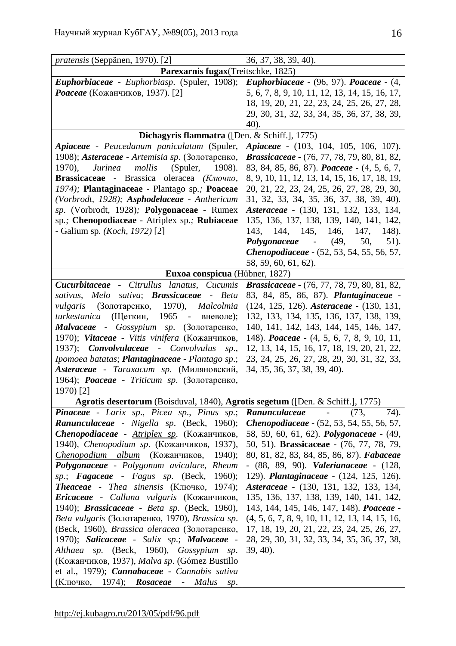| <i>pratensis</i> (Seppänen, 1970). [2]                                         | 36, 37, 38, 39, 40).                                           |
|--------------------------------------------------------------------------------|----------------------------------------------------------------|
| Parexarnis fugax(Treitschke, 1825)                                             |                                                                |
| Euphorbiaceae - Euphorbiasp. (Spuler, 1908);                                   | <b>Euphorbiaceae</b> - $(96, 97)$ . <b>Poaceae</b> - $(4, 97)$ |
| Роасеае (Кожанчиков, 1937). [2]                                                | 5, 6, 7, 8, 9, 10, 11, 12, 13, 14, 15, 16, 17,                 |
|                                                                                | 18, 19, 20, 21, 22, 23, 24, 25, 26, 27, 28,                    |
|                                                                                | 29, 30, 31, 32, 33, 34, 35, 36, 37, 38, 39,                    |
|                                                                                | 40).                                                           |
| Dichagyris flammatra ([Den. & Schiff.], 1775)                                  |                                                                |
| Apiaceae - Peucedanum paniculatum (Spuler,                                     | <i>Apiaceae</i> - (103, 104, 105, 106, 107).                   |
| 1908); Asteraceae - Artemisia sp. (Золотаренко,                                | <b>Brassicaceae</b> - (76, 77, 78, 79, 80, 81, 82,             |
| 1970,<br>mollis<br>(Spuler, 1908).<br>Jurinea                                  | 83, 84, 85, 86, 87). <i>Poaceae</i> - (4, 5, 6, 7,             |
| Brassicaceae - Brassica oleracea (Ключко,                                      | 8, 9, 10, 11, 12, 13, 14, 15, 16, 17, 18, 19,                  |
| 1974); Plantaginaceae - Plantago sp.; Poaceae                                  | 20, 21, 22, 23, 24, 25, 26, 27, 28, 29, 30,                    |
| (Vorbrodt, 1928); Asphodelaceae - Anthericum                                   | 31, 32, 33, 34, 35, 36, 37, 38, 39, 40).                       |
| sp. (Vorbrodt, 1928); Polygonaceae - Rumex                                     | Asteraceae - (130, 131, 132, 133, 134,                         |
| sp.; Chenopodiaceae - Atriplex sp.; Rubiaceae                                  | 135, 136, 137, 138, 139, 140, 141, 142,                        |
| - Galium sp. ( <i>Koch</i> , 1972) [2]                                         | 144, 145, 146, 147,<br>143.<br>$148$ ).                        |
|                                                                                | Polygonaceae - $(49, 50,$<br>51).                              |
|                                                                                | Chenopodiaceae - (52, 53, 54, 55, 56, 57,                      |
|                                                                                | 58, 59, 60, 61, 62).                                           |
| Euxoa conspicua (Hübner, 1827)                                                 |                                                                |
| Cucurbitaceae - Citrullus lanatus, Cucumis                                     | <b>Brassicaceae</b> - (76, 77, 78, 79, 80, 81, 82,             |
| sativa; <b>Brassicaceae</b> - Beta<br>sativus, Melo                            | 83, 84, 85, 86, 87). Plantaginaceae -                          |
| <i>vulgaris</i> (Золотаренко, 1970),<br>Malcolmia                              | (124, 125, 126). Asteraceae - (130, 131,                       |
| (Щеткин,<br>1965<br>turkestanica<br>- вневоле);                                | 132, 133, 134, 135, 136, 137, 138, 139,                        |
| Malvaceae - Gossypium sp. (Золотаренко,                                        | 140, 141, 142, 143, 144, 145, 146, 147,                        |
| 1970); Vitaceae - Vitis vinifera (Кожанчиков,                                  | 148). <i>Poaceae</i> - (4, 5, 6, 7, 8, 9, 10, 11,              |
| 1937); <b>Convolvulaceae</b> - Convolvulus<br>sp.,                             | 12, 13, 14, 15, 16, 17, 18, 19, 20, 21, 22,                    |
| Ipomoea batatas; Plantaginaceae - Plantago sp.;                                | 23, 24, 25, 26, 27, 28, 29, 30, 31, 32, 33,                    |
| Asteraceae - Taraxacum sp. (Миляновский,                                       | 34, 35, 36, 37, 38, 39, 40).                                   |
| 1964); <i>Роасеае - Triticum sp.</i> (Золотаренко,                             |                                                                |
| 1970) [2]                                                                      |                                                                |
| Agrotis desertorum (Boisduval, 1840), Agrotis segetum ([Den. & Schiff.], 1775) |                                                                |
| <b>Pinaceae</b> - Larix sp., Picea sp., Pinus sp.;                             | <b>Ranunculaceae</b> - (73,<br>74).                            |
| <b>Ranunculaceae</b> - Nigella sp. (Beck, 1960);                               | <b>Chenopodiaceae - (52, 53, 54, 55, 56, 57,</b>               |
| <i>Chenopodiaceae - Atriplex sp.</i> (Кожанчиков,                              | 58, 59, 60, 61, 62). <i>Polygonaceae</i> - (49,                |
| 1940), <i>Chenopodium sp.</i> (Кожанчиков, 1937),                              | 50, 51). <b>Brassicaceae</b> - (76, 77, 78, 79,                |
| Chenopodium album (Кожанчиков,<br>$1940$ ;                                     | 80, 81, 82, 83, 84, 85, 86, 87). Fabaceae                      |
| <b>Polygonaceae</b> - Polygonum aviculare, Rheum                               | - (88, 89, 90). <i>Valerianaceae</i> - (128,                   |
| sp.; Fagaceae - Fagus sp. (Beck, 1960);                                        | 129). Plantaginaceae - (124, 125, 126).                        |
| <b>Theaceae</b> - Thea sinensis (Ключко, 1974);                                | Asteraceae - (130, 131, 132, 133, 134,                         |
| <i>Ericaceae - Calluna vulgaris</i> (Кожанчиков,                               | 135, 136, 137, 138, 139, 140, 141, 142,                        |
| 1940); <b>Brassicaceae</b> - Beta sp. (Beck, 1960),                            | 143, 144, 145, 146, 147, 148). Poaceae -                       |
| Beta vulgaris (Золотаренко, 1970), Brassica sp.                                | $(4, 5, 6, 7, 8, 9, 10, 11, 12, 13, 14, 15, 16,$               |
| (Beck, 1960), Brassica oleracea (Золотаренко,                                  | 17, 18, 19, 20, 21, 22, 23, 24, 25, 26, 27,                    |
| 1970); Salicaceae - Salix sp.; Malvaceae -                                     | 28, 29, 30, 31, 32, 33, 34, 35, 36, 37, 38,                    |
| Althaea sp. (Beck, 1960), Gossypium sp.                                        | $39, 40$ ).                                                    |
| (Кожанчиков, 1937), Malva sp. (Gómez Bustillo                                  |                                                                |
| et al., 1979); Cannabaceae - Cannabis sativa                                   |                                                                |
| (Ключко, 1974); <b>Rosaceae</b> -<br>Malus<br>sp.                              |                                                                |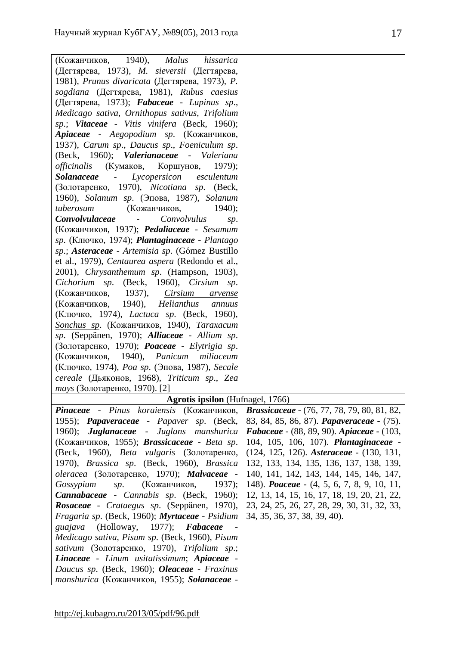| 1940,<br>(Кожанчиков,<br><b>Malus</b><br>hissarica          |                                                    |
|-------------------------------------------------------------|----------------------------------------------------|
| (Дегтярева, 1973), <i>M. sieversii</i> (Дегтярева,          |                                                    |
| 1981), Prunus divaricata (Дегтярева, 1973), P.              |                                                    |
| sogdiana (Дегтярева, 1981), Rubus caesius                   |                                                    |
| (Дегтярева, 1973); Fabaceae - Lupinus sp.,                  |                                                    |
| Medicago sativa, Ornithopus sativus, Trifolium              |                                                    |
| sp.; Vitaceae - Vitis vinifera (Beck, 1960);                |                                                    |
| Apiaceae - Aegopodium sp. (Кожанчиков,                      |                                                    |
| 1937), Carum sp., Daucus sp., Foeniculum sp.                |                                                    |
| (Beck, 1960); Valerianaceae - Valeriana                     |                                                    |
| officinalis<br>(Кумаков,<br>Коршунов,<br>$1979$ ;           |                                                    |
| Lycopersicon<br><i>Solanaceae</i><br>esculentum<br>$\sim$   |                                                    |
| (Золотаренко, 1970), Nicotiana sp. (Beck,                   |                                                    |
| 1960), Solanum sp. (Эпова, 1987), Solanum                   |                                                    |
| (Кожанчиков,<br>tuberosum<br>$1940$ ;                       |                                                    |
| Convolvulaceae<br>Convolvulus                               |                                                    |
| sp.<br>(Кожанчиков, 1937); Pedaliaceae - Sesamum            |                                                    |
| <i>sp.</i> (Ключко, 1974); <b>Plantaginaceae</b> - Plantago |                                                    |
| sp.; Asteraceae - Artemisia sp. (Gómez Bustillo             |                                                    |
| et al., 1979), Centaurea aspera (Redondo et al.,            |                                                    |
| 2001), Chrysanthemum sp. (Hampson, 1903),                   |                                                    |
| Cichorium sp.<br>(Beck, 1960), <i>Cirsium sp.</i>           |                                                    |
| 1937),<br>Cirsium<br>(Кожанчиков,<br>arvense                |                                                    |
| 1940),<br>(Кожанчиков,<br>Helianthus<br>annuus              |                                                    |
| (Ключко, 1974), <i>Lactuca sp.</i> (Beck, 1960),            |                                                    |
| Sonchus sp. (Кожанчиков, 1940), Taraxacum                   |                                                    |
| sp. (Seppänen, 1970); Alliaceae - Allium sp.                |                                                    |
| (Золотаренко, 1970); <i>Poaceae - Elytrigia sp.</i>         |                                                    |
| (Кожанчиков, 1940), Panicum miliaceum                       |                                                    |
| (Ключко, 1974), <i>Роа sp.</i> (Эпова, 1987), <i>Secale</i> |                                                    |
| cereale (Дьяконов, 1968), Triticum sp., Zea                 |                                                    |
| mays (Золотаренко, 1970). [2]                               |                                                    |
| Agrotis ipsilon (Hufnagel, 1766)                            |                                                    |
| Pinaceae - Pinus koraiensis (Кожанчиков,                    | <b>Brassicaceae</b> - (76, 77, 78, 79, 80, 81, 82, |
| 1955); Papaveraceae - Papaver sp. (Beck,                    | 83, 84, 85, 86, 87). <i>Papaveraceae</i> - (75).   |
| <b>Juglanaceae</b> - Juglans manshurica<br>1960);           | Fabaceae - (88, 89, 90). Apiaceae - (103,          |
| (Кожанчиков, 1955); <b>Brassicaceae</b> - Beta sp.          | 104, 105, 106, 107). Plantaginaceae -              |
| (Beck, 1960), Beta vulgaris (Золотаренко,                   | $(124, 125, 126)$ . Asteraceae - $(130, 131,$      |
| 1970), Brassica sp. (Beck, 1960), Brassica                  | 132, 133, 134, 135, 136, 137, 138, 139,            |
| oleracea (Золотаренко, 1970); Malvaceae -                   | 140, 141, 142, 143, 144, 145, 146, 147,            |
| (Кожанчиков,<br>1937);<br>Gossypium<br>sp.                  | 148). <i>Poaceae</i> - (4, 5, 6, 7, 8, 9, 10, 11,  |
| <b>Cannabaceae</b> - Cannabis sp. (Beck, 1960);             | 12, 13, 14, 15, 16, 17, 18, 19, 20, 21, 22,        |
| Rosaceae - Crataegus sp. (Seppänen, 1970),                  | 23, 24, 25, 26, 27, 28, 29, 30, 31, 32, 33,        |
| Fragaria sp. (Beck, 1960); Myrtaceae - Psidium              | 34, 35, 36, 37, 38, 39, 40).                       |
| $1977$ ; Fabaceae<br>(Holloway,<br>guajava                  |                                                    |
| Medicago sativa, Pisum sp. (Beck, 1960), Pisum              |                                                    |
| sativum (Золотаренко, 1970), Trifolium sp.;                 |                                                    |
| Linaceae - Linum usitatissimum; Apiaceae -                  |                                                    |
| Daucus sp. (Beck, 1960); Oleaceae - Fraxinus                |                                                    |
| manshurica (Кожанчиков, 1955); Solanaceae -                 |                                                    |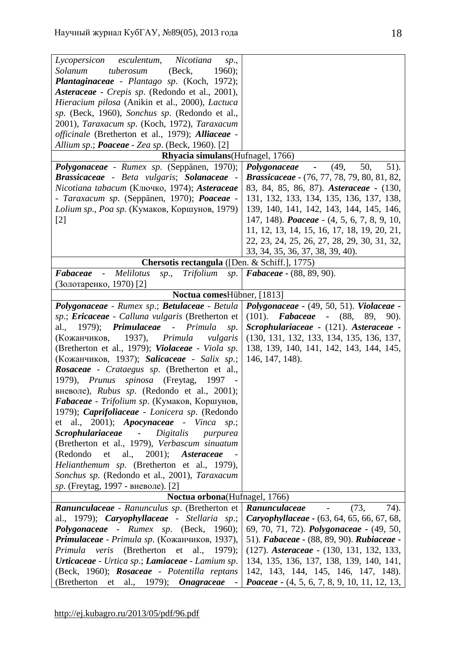| esculentum,<br>Nicotiana<br>Lycopersicon<br>sp.,                                     |                                                                                              |
|--------------------------------------------------------------------------------------|----------------------------------------------------------------------------------------------|
| tuberosum<br>(Beck,<br>1960);<br>Solanum                                             |                                                                                              |
| Plantaginaceae - Plantago sp. (Koch, 1972);                                          |                                                                                              |
| Asteraceae - Crepis sp. (Redondo et al., 2001),                                      |                                                                                              |
| Hieracium pilosa (Anikin et al., 2000), Lactuca                                      |                                                                                              |
| sp. (Beck, 1960), Sonchus sp. (Redondo et al.,                                       |                                                                                              |
| 2001), Taraxacum sp. (Koch, 1972), Taraxacum                                         |                                                                                              |
| <i>officinale</i> (Bretherton et al., 1979); Alliaceae -                             |                                                                                              |
| Allium sp.; Poaceae - Zea sp. (Beck, 1960). [2]                                      |                                                                                              |
| Rhyacia simulans (Hufnagel, 1766)                                                    |                                                                                              |
| Polygonaceae - Rumex sp. (Seppänen, 1970);                                           | 50,<br>$51$ ).<br>(49,<br>Polygonaceae<br>$\sim 100$                                         |
| Brassicaceae - Beta vulgaris; Solanaceae -                                           | <b>Brassicaceae</b> - (76, 77, 78, 79, 80, 81, 82,                                           |
| Nicotiana tabacum (Ключко, 1974); Asteraceae                                         | 83, 84, 85, 86, 87). Asteraceae - (130,                                                      |
| - Taraxacum sp. (Seppänen, 1970); Poaceae -                                          | 131, 132, 133, 134, 135, 136, 137, 138,                                                      |
| Lolium sp., Poa sp. (Кумаков, Коршунов, 1979)                                        | 139, 140, 141, 142, 143, 144, 145, 146,                                                      |
| $[2]$                                                                                | 147, 148). Poaceae - (4, 5, 6, 7, 8, 9, 10,                                                  |
|                                                                                      | 11, 12, 13, 14, 15, 16, 17, 18, 19, 20, 21,                                                  |
|                                                                                      | 22, 23, 24, 25, 26, 27, 28, 29, 30, 31, 32,                                                  |
|                                                                                      | 33, 34, 35, 36, 37, 38, 39, 40).                                                             |
| Chersotis rectangula ([Den. & Schiff.], 1775)                                        |                                                                                              |
| Melilotus<br>Trifolium<br>Fabaceae<br>$\sim$<br>sp.,<br>sp.                          | <b>Fabaceae - (88, 89, 90).</b>                                                              |
| (Золотаренко, 1970) [2]                                                              |                                                                                              |
| Noctua comesHübner, [1813]                                                           |                                                                                              |
| Polygonaceae - Rumex sp.; Betulaceae - Betula                                        | Polygonaceae - (49, 50, 51). Violaceae -                                                     |
| sp.; Ericaceae - Calluna vulgaris (Bretherton et                                     | $(101)$ . <b>Fabaceae -</b> $(88, 89,$<br>90).                                               |
| $1979$ ;<br>Primulaceae<br>- Primula<br>al.,<br>sp.                                  | Scrophulariaceae - (121). Asteraceae -                                                       |
| (Кожанчиков, 1937), Primula<br>vulgaris                                              | (130, 131, 132, 133, 134, 135, 136, 137,                                                     |
| (Bretherton et al., 1979); Violaceae - Viola sp.                                     | 138, 139, 140, 141, 142, 143, 144, 145,                                                      |
| (Кожанчиков, 1937); Salicaceae - Salix sp.;                                          | 146, 147, 148).                                                                              |
| Rosaceae - Crataegus sp. (Bretherton et al.,                                         |                                                                                              |
| 1979), Prunus spinosa (Freytag,<br>1997                                              |                                                                                              |
| вневоле), Rubus sp. (Redondo et al., 2001);                                          |                                                                                              |
| <b>Fabaceae</b> - Trifolium sp. (Кумаков, Коршунов,                                  |                                                                                              |
| 1979); Caprifoliaceae - Lonicera sp. (Redondo                                        |                                                                                              |
| et al., 2001); Apocynaceae - Vinca sp.;                                              |                                                                                              |
| <i><b>Scrophulariaceae</b></i><br>Digitalis<br>purpurea<br>$\sim$                    |                                                                                              |
| (Bretherton et al., 1979), Verbascum sinuatum                                        |                                                                                              |
| 2001); Asteraceae<br>(Redondo<br>et<br>al.,                                          |                                                                                              |
| Helianthemum sp. (Bretherton et al., 1979),                                          |                                                                                              |
| Sonchus sp. (Redondo et al., 2001), Taraxacum                                        |                                                                                              |
| sp. (Freytag, 1997 - вневоле). [2]                                                   |                                                                                              |
| Noctua orbona(Hufnagel, 1766)                                                        |                                                                                              |
| Ranunculaceae - Ranunculus sp. (Bretherton et                                        | (73,<br>74).<br>Ranunculaceae                                                                |
| al., 1979); <i>Caryophyllaceae</i> - Stellaria sp.;                                  | Caryophyllaceae - (63, 64, 65, 66, 67, 68,                                                   |
| <b>Polygonaceae</b> - Rumex sp. (Beck, 1960);                                        |                                                                                              |
|                                                                                      | 69, 70, 71, 72). <i>Polygonaceae</i> - (49, 50,                                              |
| Primulaceae - Primula sp. (Кожанчиков, 1937),                                        | 51). Fabaceae - (88, 89, 90). Rubiaceae -                                                    |
| <i>veris</i> (Bretherton et al., 1979);<br>Primula                                   | (127). Asteraceae - (130, 131, 132, 133,                                                     |
| <b>Urticaceae</b> - Urtica sp.; <b>Lamiaceae</b> - Lamium sp.                        | 134, 135, 136, 137, 138, 139, 140, 141,                                                      |
| (Beck, 1960); Rosaceae - Potentilla reptans<br>(Bretherton et al., 1979); Onagraceae | 142, 143, 144, 145, 146, 147, 148).<br><i>Poaceae</i> $-$ (4, 5, 6, 7, 8, 9, 10, 11, 12, 13, |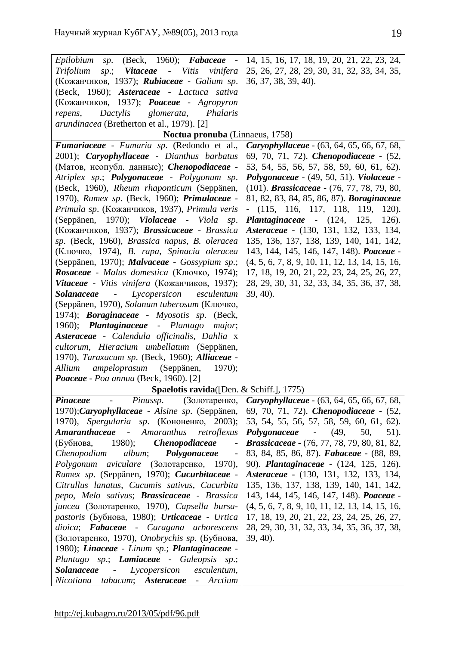| (Beck, 1960); Fabaceae -<br>Epilobium<br>sp.                                                                                                                                                                                                                                                                                                                                                                                                                                                           | 14, 15, 16, 17, 18, 19, 20, 21, 22, 23, 24,        |
|--------------------------------------------------------------------------------------------------------------------------------------------------------------------------------------------------------------------------------------------------------------------------------------------------------------------------------------------------------------------------------------------------------------------------------------------------------------------------------------------------------|----------------------------------------------------|
| sp.; Vitaceae - Vitis vinifera<br><i>Trifolium</i>                                                                                                                                                                                                                                                                                                                                                                                                                                                     | 25, 26, 27, 28, 29, 30, 31, 32, 33, 34, 35,        |
| (Кожанчиков, 1937); <b>Rubiaceae</b> - Galium sp.                                                                                                                                                                                                                                                                                                                                                                                                                                                      | 36, 37, 38, 39, 40).                               |
| (Beck, 1960); Asteraceae - Lactuca sativa                                                                                                                                                                                                                                                                                                                                                                                                                                                              |                                                    |
| (Кожанчиков, 1937); <b><i>Poaceae</i></b> - Agropyron                                                                                                                                                                                                                                                                                                                                                                                                                                                  |                                                    |
| Dactylis<br>glomerata, Phalaris<br>repens,                                                                                                                                                                                                                                                                                                                                                                                                                                                             |                                                    |
| <i>arundinacea</i> (Bretherton et al., 1979). [2]                                                                                                                                                                                                                                                                                                                                                                                                                                                      |                                                    |
| Noctua pronuba (Linnaeus, 1758)                                                                                                                                                                                                                                                                                                                                                                                                                                                                        |                                                    |
| Fumariaceae - Fumaria sp. (Redondo et al.,                                                                                                                                                                                                                                                                                                                                                                                                                                                             | <b>Caryophyllaceae</b> - (63, 64, 65, 66, 67, 68,  |
| 2001); Caryophyllaceae - Dianthus barbatus                                                                                                                                                                                                                                                                                                                                                                                                                                                             | 69, 70, 71, 72). <i>Chenopodiaceae</i> - (52,      |
| (Матов, неопубл. данные); <i>Chenopodiaceae</i> -                                                                                                                                                                                                                                                                                                                                                                                                                                                      | 53, 54, 55, 56, 57, 58, 59, 60, 61, 62).           |
| Atriplex sp.; <b>Polygonaceae</b> - Polygonum sp.                                                                                                                                                                                                                                                                                                                                                                                                                                                      | Polygonaceae - (49, 50, 51). Violaceae -           |
| (Beck, 1960), Rheum rhaponticum (Seppänen,                                                                                                                                                                                                                                                                                                                                                                                                                                                             | (101). <i>Brassicaceae</i> - (76, 77, 78, 79, 80,  |
| 1970), Rumex sp. (Beck, 1960); Primulaceae -                                                                                                                                                                                                                                                                                                                                                                                                                                                           | 81, 82, 83, 84, 85, 86, 87). Boraginaceae          |
| Primula sp. (Кожанчиков, 1937), Primula veris                                                                                                                                                                                                                                                                                                                                                                                                                                                          | (115, 116, 117, 118, 119, 120).                    |
| (Seppänen, 1970); Violaceae - Viola<br>sp.                                                                                                                                                                                                                                                                                                                                                                                                                                                             | <i>Plantaginaceae</i> - $(124, 125,$<br>126).      |
| (Кожанчиков, 1937); Brassicaceae - Brassica                                                                                                                                                                                                                                                                                                                                                                                                                                                            | Asteraceae - (130, 131, 132, 133, 134,             |
| sp. (Beck, 1960), Brassica napus, B. oleracea                                                                                                                                                                                                                                                                                                                                                                                                                                                          | 135, 136, 137, 138, 139, 140, 141, 142,            |
| (Ключко, 1974), <i>В. rapa, Spinacia oleracea</i>                                                                                                                                                                                                                                                                                                                                                                                                                                                      | 143, 144, 145, 146, 147, 148). Poaceae -           |
| (Seppänen, 1970); Malvaceae - Gossypium sp.;                                                                                                                                                                                                                                                                                                                                                                                                                                                           | $(4, 5, 6, 7, 8, 9, 10, 11, 12, 13, 14, 15, 16,$   |
| Rosaceae - Malus domestica (Ключко, 1974);                                                                                                                                                                                                                                                                                                                                                                                                                                                             | 17, 18, 19, 20, 21, 22, 23, 24, 25, 26, 27,        |
| Vitaceae - Vitis vinifera (Кожанчиков, 1937);                                                                                                                                                                                                                                                                                                                                                                                                                                                          | 28, 29, 30, 31, 32, 33, 34, 35, 36, 37, 38,        |
| Lycopersicon<br>Solanaceae<br>esculentum<br>$\overline{\phantom{a}}$                                                                                                                                                                                                                                                                                                                                                                                                                                   | $39, 40$ ).                                        |
| (Seppänen, 1970), Solanum tuberosum (Ключко,                                                                                                                                                                                                                                                                                                                                                                                                                                                           |                                                    |
| 1974); <b>Boraginaceae</b> - Myosotis sp. (Beck,                                                                                                                                                                                                                                                                                                                                                                                                                                                       |                                                    |
| 1960); Plantaginaceae - Plantago<br>major;                                                                                                                                                                                                                                                                                                                                                                                                                                                             |                                                    |
| Asteraceae - Calendula officinalis, Dahlia x                                                                                                                                                                                                                                                                                                                                                                                                                                                           |                                                    |
| cultorum, Hieracium umbellatum (Seppänen,                                                                                                                                                                                                                                                                                                                                                                                                                                                              |                                                    |
| 1970), Taraxacum sp. (Beck, 1960); Alliaceae -                                                                                                                                                                                                                                                                                                                                                                                                                                                         |                                                    |
| Allium<br>ampeloprasum<br>(Seppänen,<br>$1970$ ;                                                                                                                                                                                                                                                                                                                                                                                                                                                       |                                                    |
| Poaceae - Poa annua (Beck, 1960). [2]                                                                                                                                                                                                                                                                                                                                                                                                                                                                  |                                                    |
| <b>Spaelotis ravida</b> ([Den. & Schiff.], 1775)                                                                                                                                                                                                                                                                                                                                                                                                                                                       |                                                    |
| Pinaceae<br>$\mathcal{L}^{\mathcal{L}}(\mathcal{L}^{\mathcal{L}}(\mathcal{L}^{\mathcal{L}}(\mathcal{L}^{\mathcal{L}}(\mathcal{L}^{\mathcal{L}}(\mathcal{L}^{\mathcal{L}}(\mathcal{L}^{\mathcal{L}}(\mathcal{L}^{\mathcal{L}}(\mathcal{L}^{\mathcal{L}}(\mathcal{L}^{\mathcal{L}}(\mathcal{L}^{\mathcal{L}}(\mathcal{L}^{\mathcal{L}}(\mathcal{L}^{\mathcal{L}}(\mathcal{L}^{\mathcal{L}}(\mathcal{L}^{\mathcal{L}}(\mathcal{L}^{\mathcal{L}}(\mathcal{L}^{\mathcal{L$<br><i>Pinussp.</i> (Золотаренко, | <b>Caryophyllaceae -</b> (63, 64, 65, 66, 67, 68,  |
| 1970); Caryophyllaceae - Alsine sp. (Seppänen,                                                                                                                                                                                                                                                                                                                                                                                                                                                         | 69, 70, 71, 72). <i>Chenopodiaceae</i> - (52,      |
| 1970), Spergularia sp. (Кононенко, 2003);                                                                                                                                                                                                                                                                                                                                                                                                                                                              | 53, 54, 55, 56, 57, 58, 59, 60, 61, 62).           |
| <b>Amaranthaceae</b><br>- Amaranthus<br>retroflexus                                                                                                                                                                                                                                                                                                                                                                                                                                                    | <b>Polygonaceae</b> - (49,<br>50,<br>51).          |
| 1980);<br><i>Chenopodiaceae</i><br>(Бубнова,                                                                                                                                                                                                                                                                                                                                                                                                                                                           | <b>Brassicaceae</b> - (76, 77, 78, 79, 80, 81, 82, |
| Chenopodium<br>album;<br>Polygonaceae                                                                                                                                                                                                                                                                                                                                                                                                                                                                  | 83, 84, 85, 86, 87). Fabaceae - (88, 89,           |
| Polygonum aviculare (Золотаренко, 1970),                                                                                                                                                                                                                                                                                                                                                                                                                                                               | 90). Plantaginaceae - (124, 125, 126).             |
| Rumex sp. (Seppänen, 1970); Cucurbitaceae -                                                                                                                                                                                                                                                                                                                                                                                                                                                            | Asteraceae - (130, 131, 132, 133, 134,             |
| Citrullus lanatus, Cucumis sativus, Cucurbita                                                                                                                                                                                                                                                                                                                                                                                                                                                          | 135, 136, 137, 138, 139, 140, 141, 142,            |
| pepo, Melo sativus; Brassicaceae - Brassica                                                                                                                                                                                                                                                                                                                                                                                                                                                            | 143, 144, 145, 146, 147, 148). Poaceae -           |
| јипсеа (Золотаренко, 1970), Capsella bursa-                                                                                                                                                                                                                                                                                                                                                                                                                                                            | $(4, 5, 6, 7, 8, 9, 10, 11, 12, 13, 14, 15, 16,$   |
| pastoris (Бубнова, 1980); Urticaceae - Urtica                                                                                                                                                                                                                                                                                                                                                                                                                                                          | 17, 18, 19, 20, 21, 22, 23, 24, 25, 26, 27,        |
| dioica; Fabaceae - Caragana arborescens                                                                                                                                                                                                                                                                                                                                                                                                                                                                | 28, 29, 30, 31, 32, 33, 34, 35, 36, 37, 38,        |
| (Золотаренко, 1970), <i>Onobrychis sp.</i> (Бубнова,                                                                                                                                                                                                                                                                                                                                                                                                                                                   | $39, 40$ .                                         |
| 1980); Linaceae - Linum sp.; Plantaginaceae -                                                                                                                                                                                                                                                                                                                                                                                                                                                          |                                                    |
| Plantago sp.; Lamiaceae - Galeopsis sp.;                                                                                                                                                                                                                                                                                                                                                                                                                                                               |                                                    |
| Solanaceae<br>Lycopersicon<br>esculentum,<br>$\omega_{\rm{max}}$                                                                                                                                                                                                                                                                                                                                                                                                                                       |                                                    |
| Nicotiana tabacum; Asteraceae -<br>Arctium                                                                                                                                                                                                                                                                                                                                                                                                                                                             |                                                    |